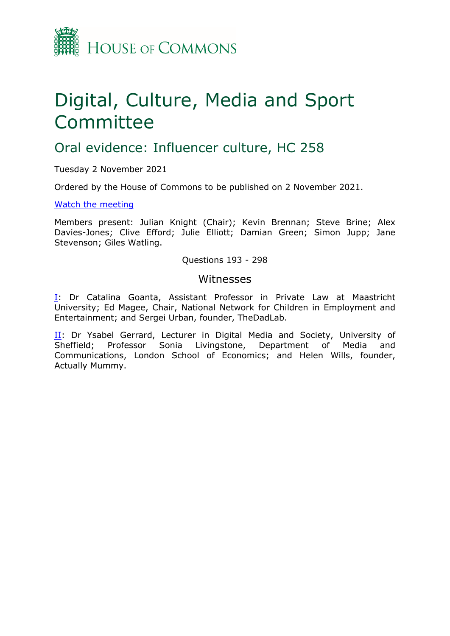

# Digital, Culture, Media and Sport Committee

# Oral evidence: Influencer culture, HC 258

Tuesday 2 November 2021

Ordered by the House of Commons to be published on 2 November 2021.

#### [Watch](https://parliamentlive.tv/event/index/f84620dd-9c01-48c6-a39e-b75f5f5a157b) [the](https://parliamentlive.tv/event/index/f84620dd-9c01-48c6-a39e-b75f5f5a157b) [meeting](https://parliamentlive.tv/event/index/f84620dd-9c01-48c6-a39e-b75f5f5a157b)

Members present: Julian Knight (Chair); Kevin Brennan; Steve Brine; Alex Davies-Jones; Clive Efford; Julie Elliott; Damian Green; Simon Jupp; Jane Stevenson; Giles Watling.

#### Questions 193 - 298

#### Witnesses

[I:](#page-1-0) Dr Catalina Goanta, Assistant Professor in Private Law at Maastricht University; Ed Magee, Chair, National Network for Children in Employment and Entertainment; and Sergei Urban, founder, TheDadLab.

II: Dr Ysabel Gerrard, Lecturer in Digital Media and Society, University of Sheffield; Professor Sonia Livingstone, Department of Media and Communications, London School of Economics; and Helen Wills, founder, Actually Mummy.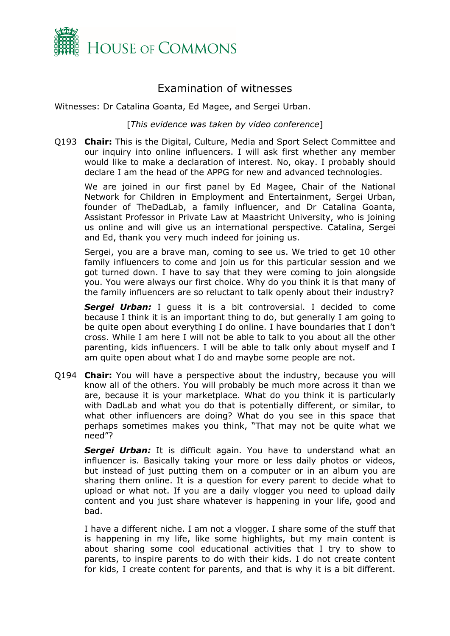

## <span id="page-1-0"></span>Examination of witnesses

Witnesses: Dr Catalina Goanta, Ed Magee, and Sergei Urban.

[*This evidence was taken by video conference*]

Q193 **Chair:** This is the Digital, Culture, Media and Sport Select Committee and our inquiry into online influencers. I will ask first whether any member would like to make a declaration of interest. No, okay. I probably should declare I am the head of the APPG for new and advanced technologies.

We are joined in our first panel by Ed Magee, Chair of the National Network for Children in Employment and Entertainment, Sergei Urban, founder of TheDadLab, a family influencer, and Dr Catalina Goanta, Assistant Professor in Private Law at Maastricht University, who is joining us online and will give us an international perspective. Catalina, Sergei and Ed, thank you very much indeed for joining us.

Sergei, you are a brave man, coming to see us. We tried to get 10 other family influencers to come and join us for this particular session and we got turned down. I have to say that they were coming to join alongside you. You were always our first choice. Why do you think it is that many of the family influencers are so reluctant to talk openly about their industry?

*Sergei Urban:* I guess it is a bit controversial. I decided to come because I think it is an important thing to do, but generally I am going to be quite open about everything I do online. I have boundaries that I don't cross. While I am here I will not be able to talk to you about all the other parenting, kids influencers. I will be able to talk only about myself and I am quite open about what I do and maybe some people are not.

Q194 **Chair:** You will have a perspective about the industry, because you will know all of the others. You will probably be much more across it than we are, because it is your marketplace. What do you think it is particularly with DadLab and what you do that is potentially different, or similar, to what other influencers are doing? What do you see in this space that perhaps sometimes makes you think, "That may not be quite what we need"?

**Sergei Urban:** It is difficult again. You have to understand what an influencer is. Basically taking your more or less daily photos or videos, but instead of just putting them on a computer or in an album you are sharing them online. It is a question for every parent to decide what to upload or what not. If you are a daily vlogger you need to upload daily content and you just share whatever is happening in your life, good and bad.

I have a different niche. I am not a vlogger. I share some of the stuff that is happening in my life, like some highlights, but my main content is about sharing some cool educational activities that I try to show to parents, to inspire parents to do with their kids. I do not create content for kids, I create content for parents, and that is why it is a bit different.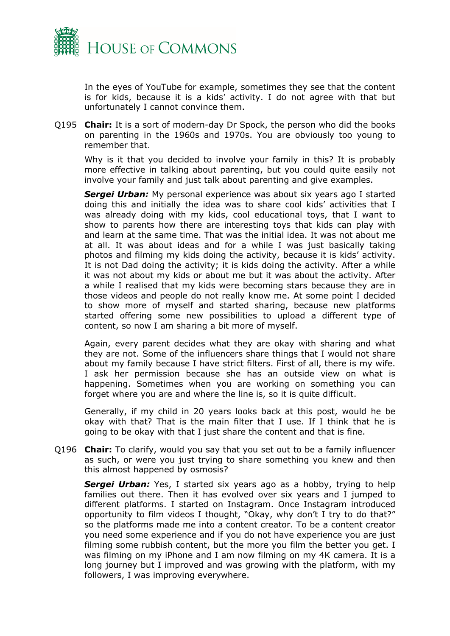

In the eyes of YouTube for example, sometimes they see that the content is for kids, because it is a kids' activity. I do not agree with that but unfortunately I cannot convince them.

Q195 **Chair:** It is a sort of modern-day Dr Spock, the person who did the books on parenting in the 1960s and 1970s. You are obviously too young to remember that.

Why is it that you decided to involve your family in this? It is probably more effective in talking about parenting, but you could quite easily not involve your family and just talk about parenting and give examples.

*Sergei Urban:* My personal experience was about six years ago I started doing this and initially the idea was to share cool kids' activities that I was already doing with my kids, cool educational toys, that I want to show to parents how there are interesting toys that kids can play with and learn at the same time. That was the initial idea. It was not about me at all. It was about ideas and for a while I was just basically taking photos and filming my kids doing the activity, because it is kids' activity. It is not Dad doing the activity; it is kids doing the activity. After a while it was not about my kids or about me but it was about the activity. After a while I realised that my kids were becoming stars because they are in those videos and people do not really know me. At some point I decided to show more of myself and started sharing, because new platforms started offering some new possibilities to upload a different type of content, so now I am sharing a bit more of myself.

Again, every parent decides what they are okay with sharing and what they are not. Some of the influencers share things that I would not share about my family because I have strict filters. First of all, there is my wife. I ask her permission because she has an outside view on what is happening. Sometimes when you are working on something you can forget where you are and where the line is, so it is quite difficult.

Generally, if my child in 20 years looks back at this post, would he be okay with that? That is the main filter that I use. If I think that he is going to be okay with that I just share the content and that is fine.

Q196 **Chair:** To clarify, would you say that you set out to be a family influencer as such, or were you just trying to share something you knew and then this almost happened by osmosis?

**Sergei Urban:** Yes, I started six years ago as a hobby, trying to help families out there. Then it has evolved over six years and I jumped to different platforms. I started on Instagram. Once Instagram introduced opportunity to film videos I thought, "Okay, why don't I try to do that?" so the platforms made me into a content creator. To be a content creator you need some experience and if you do not have experience you are just filming some rubbish content, but the more you film the better you get. I was filming on my iPhone and I am now filming on my 4K camera. It is a long journey but I improved and was growing with the platform, with my followers, I was improving everywhere.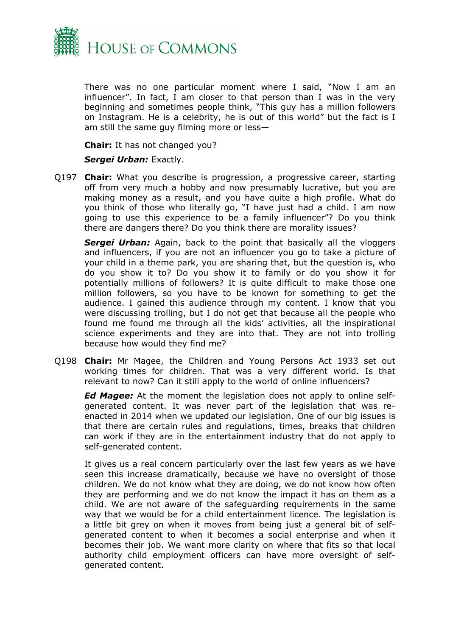

There was no one particular moment where I said, "Now I am an influencer". In fact, I am closer to that person than I was in the very beginning and sometimes people think, "This guy has a million followers on Instagram. He is a celebrity, he is out of this world" but the fact is I am still the same guy filming more or less—

**Chair:** It has not changed you?

#### *Sergei Urban:* Exactly.

Q197 **Chair:** What you describe is progression, a progressive career, starting off from very much a hobby and now presumably lucrative, but you are making money as a result, and you have quite a high profile. What do you think of those who literally go, "I have just had a child. I am now going to use this experience to be a family influencer"? Do you think there are dangers there? Do you think there are morality issues?

**Sergei Urban:** Again, back to the point that basically all the vloggers and influencers, if you are not an influencer you go to take a picture of your child in a theme park, you are sharing that, but the question is, who do you show it to? Do you show it to family or do you show it for potentially millions of followers? It is quite difficult to make those one million followers, so you have to be known for something to get the audience. I gained this audience through my content. I know that you were discussing trolling, but I do not get that because all the people who found me found me through all the kids' activities, all the inspirational science experiments and they are into that. They are not into trolling because how would they find me?

Q198 **Chair:** Mr Magee, the Children and Young Persons Act 1933 set out working times for children. That was a very different world. Is that relevant to now? Can it still apply to the world of online influencers?

*Ed Magee:* At the moment the legislation does not apply to online selfgenerated content. It was never part of the legislation that was reenacted in 2014 when we updated our legislation. One of our big issues is that there are certain rules and regulations, times, breaks that children can work if they are in the entertainment industry that do not apply to self-generated content.

It gives us a real concern particularly over the last few years as we have seen this increase dramatically, because we have no oversight of those children. We do not know what they are doing, we do not know how often they are performing and we do not know the impact it has on them as a child. We are not aware of the safeguarding requirements in the same way that we would be for a child entertainment licence. The legislation is a little bit grey on when it moves from being just a general bit of selfgenerated content to when it becomes a social enterprise and when it becomes their job. We want more clarity on where that fits so that local authority child employment officers can have more oversight of selfgenerated content.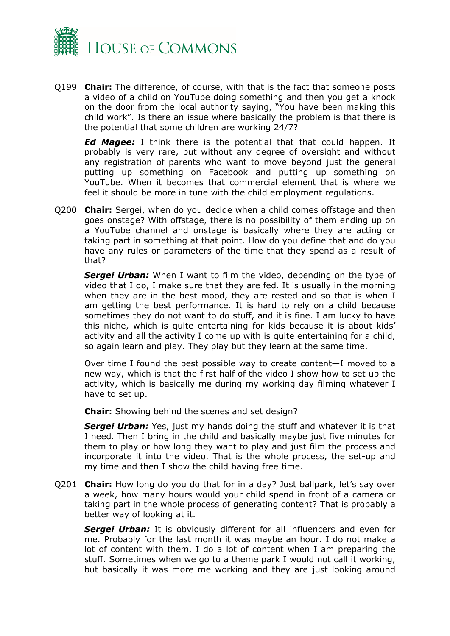

Q199 **Chair:** The difference, of course, with that is the fact that someone posts a video of a child on YouTube doing something and then you get a knock on the door from the local authority saying, "You have been making this child work". Is there an issue where basically the problem is that there is the potential that some children are working 24/7?

*Ed Magee:* I think there is the potential that that could happen. It probably is very rare, but without any degree of oversight and without any registration of parents who want to move beyond just the general putting up something on Facebook and putting up something on YouTube. When it becomes that commercial element that is where we feel it should be more in tune with the child employment regulations.

Q200 **Chair:** Sergei, when do you decide when a child comes offstage and then goes onstage? With offstage, there is no possibility of them ending up on a YouTube channel and onstage is basically where they are acting or taking part in something at that point. How do you define that and do you have any rules or parameters of the time that they spend as a result of that?

*Sergei Urban:* When I want to film the video, depending on the type of video that I do, I make sure that they are fed. It is usually in the morning when they are in the best mood, they are rested and so that is when I am getting the best performance. It is hard to rely on a child because sometimes they do not want to do stuff, and it is fine. I am lucky to have this niche, which is quite entertaining for kids because it is about kids' activity and all the activity I come up with is quite entertaining for a child, so again learn and play. They play but they learn at the same time.

Over time I found the best possible way to create content—I moved to a new way, which is that the first half of the video I show how to set up the activity, which is basically me during my working day filming whatever I have to set up.

**Chair:** Showing behind the scenes and set design?

**Sergei Urban:** Yes, just my hands doing the stuff and whatever it is that I need. Then I bring in the child and basically maybe just five minutes for them to play or how long they want to play and just film the process and incorporate it into the video. That is the whole process, the set-up and my time and then I show the child having free time.

Q201 **Chair:** How long do you do that for in a day? Just ballpark, let's say over a week, how many hours would your child spend in front of a camera or taking part in the whole process of generating content? That is probably a better way of looking at it.

*Sergei Urban:* It is obviously different for all influencers and even for me. Probably for the last month it was maybe an hour. I do not make a lot of content with them. I do a lot of content when I am preparing the stuff. Sometimes when we go to a theme park I would not call it working, but basically it was more me working and they are just looking around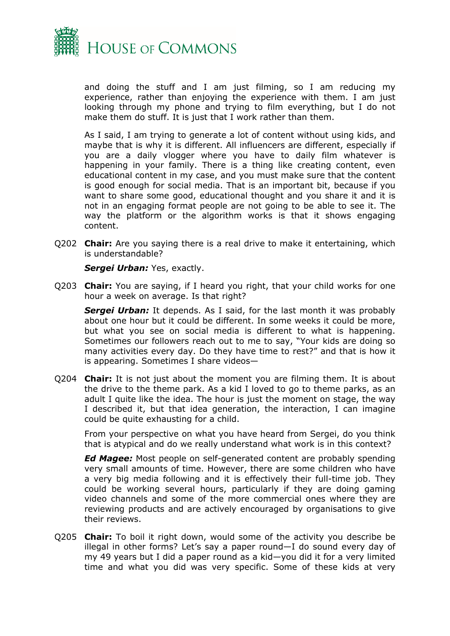

and doing the stuff and I am just filming, so I am reducing my experience, rather than enjoying the experience with them. I am just looking through my phone and trying to film everything, but I do not make them do stuff. It is just that I work rather than them.

As I said, I am trying to generate a lot of content without using kids, and maybe that is why it is different. All influencers are different, especially if you are a daily vlogger where you have to daily film whatever is happening in your family. There is a thing like creating content, even educational content in my case, and you must make sure that the content is good enough for social media. That is an important bit, because if you want to share some good, educational thought and you share it and it is not in an engaging format people are not going to be able to see it. The way the platform or the algorithm works is that it shows engaging content.

Q202 **Chair:** Are you saying there is a real drive to make it entertaining, which is understandable?

*Sergei Urban:* Yes, exactly.

Q203 **Chair:** You are saying, if I heard you right, that your child works for one hour a week on average. Is that right?

**Sergei Urban:** It depends. As I said, for the last month it was probably about one hour but it could be different. In some weeks it could be more, but what you see on social media is different to what is happening. Sometimes our followers reach out to me to say, "Your kids are doing so many activities every day. Do they have time to rest?" and that is how it is appearing. Sometimes I share videos—

Q204 **Chair:** It is not just about the moment you are filming them. It is about the drive to the theme park. As a kid I loved to go to theme parks, as an adult I quite like the idea. The hour is just the moment on stage, the way I described it, but that idea generation, the interaction, I can imagine could be quite exhausting for a child.

From your perspective on what you have heard from Sergei, do you think that is atypical and do we really understand what work is in this context?

*Ed Magee:* Most people on self-generated content are probably spending very small amounts of time. However, there are some children who have a very big media following and it is effectively their full-time job. They could be working several hours, particularly if they are doing gaming video channels and some of the more commercial ones where they are reviewing products and are actively encouraged by organisations to give their reviews.

Q205 **Chair:** To boil it right down, would some of the activity you describe be illegal in other forms? Let's say a paper round—I do sound every day of my 49 years but I did a paper round as a kid—you did it for a very limited time and what you did was very specific. Some of these kids at very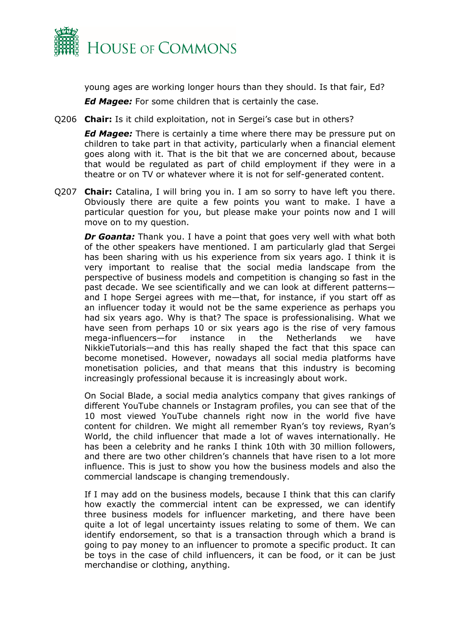

young ages are working longer hours than they should. Is that fair, Ed?

*Ed Magee:* For some children that is certainly the case.

Q206 **Chair:** Is it child exploitation, not in Sergei's case but in others?

*Ed Magee:* There is certainly a time where there may be pressure put on children to take part in that activity, particularly when a financial element goes along with it. That is the bit that we are concerned about, because that would be regulated as part of child employment if they were in a theatre or on TV or whatever where it is not for self-generated content.

Q207 **Chair:** Catalina, I will bring you in. I am so sorry to have left you there. Obviously there are quite a few points you want to make. I have a particular question for you, but please make your points now and I will move on to my question.

*Dr Goanta:* Thank you. I have a point that goes very well with what both of the other speakers have mentioned. I am particularly glad that Sergei has been sharing with us his experience from six years ago. I think it is very important to realise that the social media landscape from the perspective of business models and competition is changing so fast in the past decade. We see scientifically and we can look at different patterns and I hope Sergei agrees with me—that, for instance, if you start off as an influencer today it would not be the same experience as perhaps you had six years ago. Why is that? The space is professionalising. What we have seen from perhaps 10 or six years ago is the rise of very famous mega-influencers—for instance in the Netherlands we have NikkieTutorials—and this has really shaped the fact that this space can become monetised. However, nowadays all social media platforms have monetisation policies, and that means that this industry is becoming increasingly professional because it is increasingly about work.

On Social Blade, a social media analytics company that gives rankings of different YouTube channels or Instagram profiles, you can see that of the 10 most viewed YouTube channels right now in the world five have content for children. We might all remember Ryan's toy reviews, Ryan's World, the child influencer that made a lot of waves internationally. He has been a celebrity and he ranks I think 10th with 30 million followers, and there are two other children's channels that have risen to a lot more influence. This is just to show you how the business models and also the commercial landscape is changing tremendously.

If I may add on the business models, because I think that this can clarify how exactly the commercial intent can be expressed, we can identify three business models for influencer marketing, and there have been quite a lot of legal uncertainty issues relating to some of them. We can identify endorsement, so that is a transaction through which a brand is going to pay money to an influencer to promote a specific product. It can be toys in the case of child influencers, it can be food, or it can be just merchandise or clothing, anything.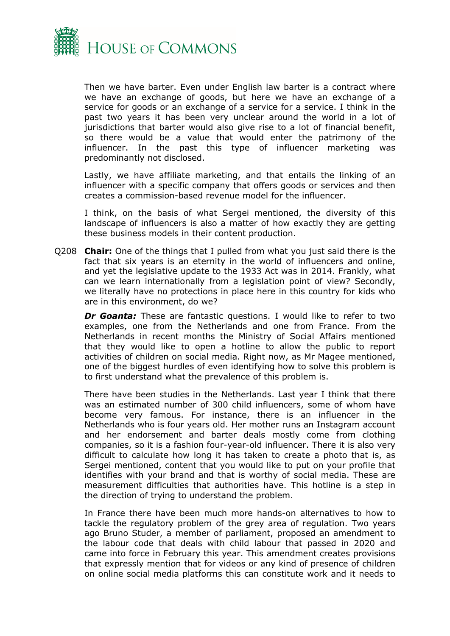

Then we have barter. Even under English law barter is a contract where we have an exchange of goods, but here we have an exchange of a service for goods or an exchange of a service for a service. I think in the past two years it has been very unclear around the world in a lot of jurisdictions that barter would also give rise to a lot of financial benefit, so there would be a value that would enter the patrimony of the influencer. In the past this type of influencer marketing was predominantly not disclosed.

Lastly, we have affiliate marketing, and that entails the linking of an influencer with a specific company that offers goods or services and then creates a commission-based revenue model for the influencer.

I think, on the basis of what Sergei mentioned, the diversity of this landscape of influencers is also a matter of how exactly they are getting these business models in their content production.

Q208 **Chair:** One of the things that I pulled from what you just said there is the fact that six years is an eternity in the world of influencers and online, and yet the legislative update to the 1933 Act was in 2014. Frankly, what can we learn internationally from a legislation point of view? Secondly, we literally have no protections in place here in this country for kids who are in this environment, do we?

**Dr Goanta:** These are fantastic questions. I would like to refer to two examples, one from the Netherlands and one from France. From the Netherlands in recent months the Ministry of Social Affairs mentioned that they would like to open a hotline to allow the public to report activities of children on social media. Right now, as Mr Magee mentioned, one of the biggest hurdles of even identifying how to solve this problem is to first understand what the prevalence of this problem is.

There have been studies in the Netherlands. Last year I think that there was an estimated number of 300 child influencers, some of whom have become very famous. For instance, there is an influencer in the Netherlands who is four years old. Her mother runs an Instagram account and her endorsement and barter deals mostly come from clothing companies, so it is a fashion four-year-old influencer. There it is also very difficult to calculate how long it has taken to create a photo that is, as Sergei mentioned, content that you would like to put on your profile that identifies with your brand and that is worthy of social media. These are measurement difficulties that authorities have. This hotline is a step in the direction of trying to understand the problem.

In France there have been much more hands-on alternatives to how to tackle the regulatory problem of the grey area of regulation. Two years ago Bruno Studer, a member of parliament, proposed an amendment to the labour code that deals with child labour that passed in 2020 and came into force in February this year. This amendment creates provisions that expressly mention that for videos or any kind of presence of children on online social media platforms this can constitute work and it needs to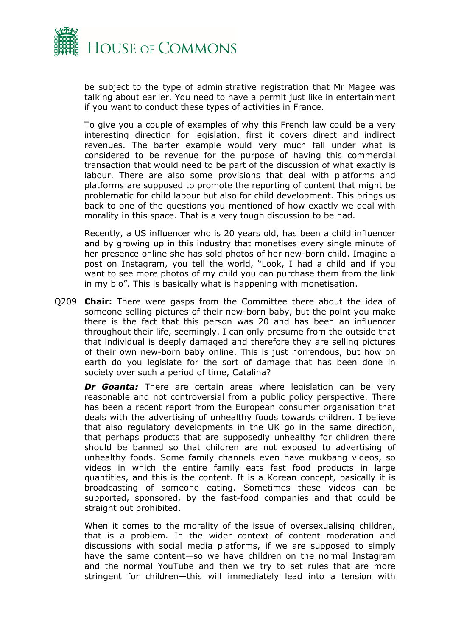

be subject to the type of administrative registration that Mr Magee was talking about earlier. You need to have a permit just like in entertainment if you want to conduct these types of activities in France.

To give you a couple of examples of why this French law could be a very interesting direction for legislation, first it covers direct and indirect revenues. The barter example would very much fall under what is considered to be revenue for the purpose of having this commercial transaction that would need to be part of the discussion of what exactly is labour. There are also some provisions that deal with platforms and platforms are supposed to promote the reporting of content that might be problematic for child labour but also for child development. This brings us back to one of the questions you mentioned of how exactly we deal with morality in this space. That is a very tough discussion to be had.

Recently, a US influencer who is 20 years old, has been a child influencer and by growing up in this industry that monetises every single minute of her presence online she has sold photos of her new-born child. Imagine a post on Instagram, you tell the world, "Look, I had a child and if you want to see more photos of my child you can purchase them from the link in my bio". This is basically what is happening with monetisation.

Q209 **Chair:** There were gasps from the Committee there about the idea of someone selling pictures of their new-born baby, but the point you make there is the fact that this person was 20 and has been an influencer throughout their life, seemingly. I can only presume from the outside that that individual is deeply damaged and therefore they are selling pictures of their own new-born baby online. This is just horrendous, but how on earth do you legislate for the sort of damage that has been done in society over such a period of time, Catalina?

*Dr Goanta:* There are certain areas where legislation can be very reasonable and not controversial from a public policy perspective. There has been a recent report from the European consumer organisation that deals with the advertising of unhealthy foods towards children. I believe that also regulatory developments in the UK go in the same direction, that perhaps products that are supposedly unhealthy for children there should be banned so that children are not exposed to advertising of unhealthy foods. Some family channels even have mukbang videos, so videos in which the entire family eats fast food products in large quantities, and this is the content. It is a Korean concept, basically it is broadcasting of someone eating. Sometimes these videos can be supported, sponsored, by the fast-food companies and that could be straight out prohibited.

When it comes to the morality of the issue of oversexualising children, that is a problem. In the wider context of content moderation and discussions with social media platforms, if we are supposed to simply have the same content—so we have children on the normal Instagram and the normal YouTube and then we try to set rules that are more stringent for children—this will immediately lead into a tension with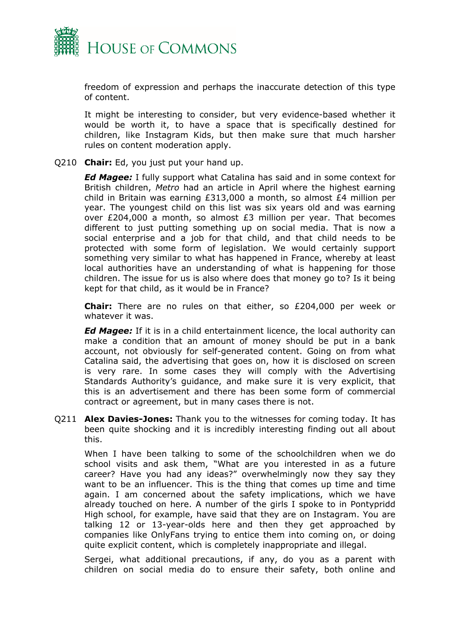

freedom of expression and perhaps the inaccurate detection of this type of content.

It might be interesting to consider, but very evidence-based whether it would be worth it, to have a space that is specifically destined for children, like Instagram Kids, but then make sure that much harsher rules on content moderation apply.

#### Q210 **Chair:** Ed, you just put your hand up.

*Ed Magee:* I fully support what Catalina has said and in some context for British children, *Metro* had an article in April where the highest earning child in Britain was earning £313,000 a month, so almost £4 million per year. The youngest child on this list was six years old and was earning over £204,000 a month, so almost  $£3$  million per year. That becomes different to just putting something up on social media. That is now a social enterprise and a job for that child, and that child needs to be protected with some form of legislation. We would certainly support something very similar to what has happened in France, whereby at least local authorities have an understanding of what is happening for those children. The issue for us is also where does that money go to? Is it being kept for that child, as it would be in France?

**Chair:** There are no rules on that either, so £204,000 per week or whatever it was.

*Ed Magee:* If it is in a child entertainment licence, the local authority can make a condition that an amount of money should be put in a bank account, not obviously for self-generated content. Going on from what Catalina said, the advertising that goes on, how it is disclosed on screen is very rare. In some cases they will comply with the Advertising Standards Authority's guidance, and make sure it is very explicit, that this is an advertisement and there has been some form of commercial contract or agreement, but in many cases there is not.

Q211 **Alex Davies-Jones:** Thank you to the witnesses for coming today. It has been quite shocking and it is incredibly interesting finding out all about this.

When I have been talking to some of the schoolchildren when we do school visits and ask them, "What are you interested in as a future career? Have you had any ideas?" overwhelmingly now they say they want to be an influencer. This is the thing that comes up time and time again. I am concerned about the safety implications, which we have already touched on here. A number of the girls I spoke to in Pontypridd High school, for example, have said that they are on Instagram. You are talking 12 or 13-year-olds here and then they get approached by companies like OnlyFans trying to entice them into coming on, or doing quite explicit content, which is completely inappropriate and illegal.

Sergei, what additional precautions, if any, do you as a parent with children on social media do to ensure their safety, both online and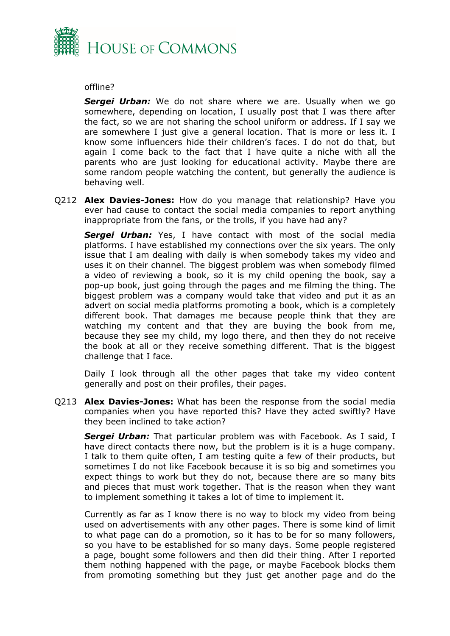

#### offline?

**Sergei Urban:** We do not share where we are. Usually when we go somewhere, depending on location, I usually post that I was there after the fact, so we are not sharing the school uniform or address. If I say we are somewhere I just give a general location. That is more or less it. I know some influencers hide their children's faces. I do not do that, but again I come back to the fact that I have quite a niche with all the parents who are just looking for educational activity. Maybe there are some random people watching the content, but generally the audience is behaving well.

Q212 **Alex Davies-Jones:** How do you manage that relationship? Have you ever had cause to contact the social media companies to report anything inappropriate from the fans, or the trolls, if you have had any?

**Sergei Urban:** Yes, I have contact with most of the social media platforms. I have established my connections over the six years. The only issue that I am dealing with daily is when somebody takes my video and uses it on their channel. The biggest problem was when somebody filmed a video of reviewing a book, so it is my child opening the book, say a pop-up book, just going through the pages and me filming the thing. The biggest problem was a company would take that video and put it as an advert on social media platforms promoting a book, which is a completely different book. That damages me because people think that they are watching my content and that they are buying the book from me, because they see my child, my logo there, and then they do not receive the book at all or they receive something different. That is the biggest challenge that I face.

Daily I look through all the other pages that take my video content generally and post on their profiles, their pages.

Q213 **Alex Davies-Jones:** What has been the response from the social media companies when you have reported this? Have they acted swiftly? Have they been inclined to take action?

*Sergei Urban:* That particular problem was with Facebook. As I said, I have direct contacts there now, but the problem is it is a huge company. I talk to them quite often, I am testing quite a few of their products, but sometimes I do not like Facebook because it is so big and sometimes you expect things to work but they do not, because there are so many bits and pieces that must work together. That is the reason when they want to implement something it takes a lot of time to implement it.

Currently as far as I know there is no way to block my video from being used on advertisements with any other pages. There is some kind of limit to what page can do a promotion, so it has to be for so many followers, so you have to be established for so many days. Some people registered a page, bought some followers and then did their thing. After I reported them nothing happened with the page, or maybe Facebook blocks them from promoting something but they just get another page and do the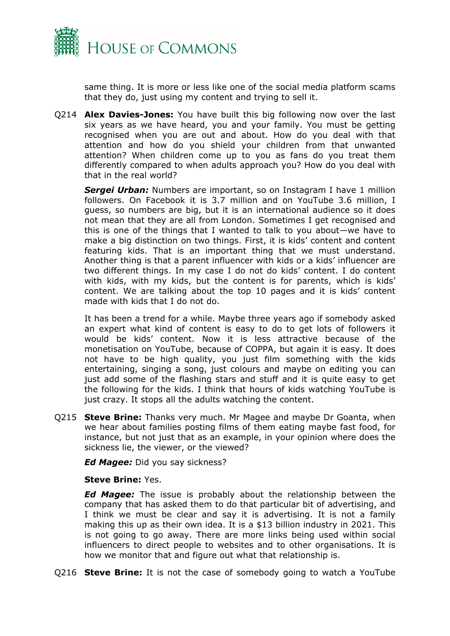

same thing. It is more or less like one of the social media platform scams that they do, just using my content and trying to sell it.

Q214 **Alex Davies-Jones:** You have built this big following now over the last six years as we have heard, you and your family. You must be getting recognised when you are out and about. How do you deal with that attention and how do you shield your children from that unwanted attention? When children come up to you as fans do you treat them differently compared to when adults approach you? How do you deal with that in the real world?

**Sergei Urban:** Numbers are important, so on Instagram I have 1 million followers. On Facebook it is 3.7 million and on YouTube 3.6 million, I guess, so numbers are big, but it is an international audience so it does not mean that they are all from London. Sometimes I get recognised and this is one of the things that I wanted to talk to you about—we have to make a big distinction on two things. First, it is kids' content and content featuring kids. That is an important thing that we must understand. Another thing is that a parent influencer with kids or a kids' influencer are two different things. In my case I do not do kids' content. I do content with kids, with my kids, but the content is for parents, which is kids' content. We are talking about the top 10 pages and it is kids' content made with kids that I do not do.

It has been a trend for a while. Maybe three years ago if somebody asked an expert what kind of content is easy to do to get lots of followers it would be kids' content. Now it is less attractive because of the monetisation on YouTube, because of COPPA, but again it is easy. It does not have to be high quality, you just film something with the kids entertaining, singing a song, just colours and maybe on editing you can just add some of the flashing stars and stuff and it is quite easy to get the following for the kids. I think that hours of kids watching YouTube is just crazy. It stops all the adults watching the content.

Q215 **Steve Brine:** Thanks very much. Mr Magee and maybe Dr Goanta, when we hear about families posting films of them eating maybe fast food, for instance, but not just that as an example, in your opinion where does the sickness lie, the viewer, or the viewed?

*Ed Magee:* Did you say sickness?

#### **Steve Brine:** Yes.

*Ed Magee:* The issue is probably about the relationship between the company that has asked them to do that particular bit of advertising, and I think we must be clear and say it is advertising. It is not a family making this up as their own idea. It is a \$13 billion industry in 2021. This is not going to go away. There are more links being used within social influencers to direct people to websites and to other organisations. It is how we monitor that and figure out what that relationship is.

Q216 **Steve Brine:** It is not the case of somebody going to watch a YouTube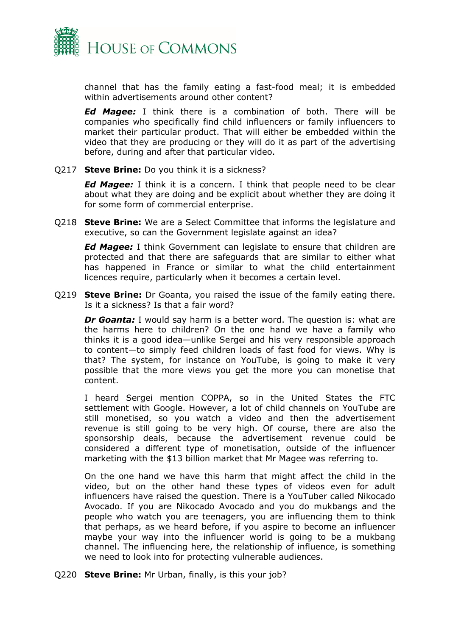

channel that has the family eating a fast-food meal; it is embedded within advertisements around other content?

*Ed Magee:* I think there is a combination of both. There will be companies who specifically find child influencers or family influencers to market their particular product. That will either be embedded within the video that they are producing or they will do it as part of the advertising before, during and after that particular video.

Q217 **Steve Brine:** Do you think it is a sickness?

*Ed Magee:* I think it is a concern. I think that people need to be clear about what they are doing and be explicit about whether they are doing it for some form of commercial enterprise.

Q218 **Steve Brine:** We are a Select Committee that informs the legislature and executive, so can the Government legislate against an idea?

*Ed Magee:* I think Government can legislate to ensure that children are protected and that there are safeguards that are similar to either what has happened in France or similar to what the child entertainment licences require, particularly when it becomes a certain level.

Q219 **Steve Brine:** Dr Goanta, you raised the issue of the family eating there. Is it a sickness? Is that a fair word?

*Dr Goanta:* I would say harm is a better word. The question is: what are the harms here to children? On the one hand we have a family who thinks it is a good idea—unlike Sergei and his very responsible approach to content—to simply feed children loads of fast food for views. Why is that? The system, for instance on YouTube, is going to make it very possible that the more views you get the more you can monetise that content.

I heard Sergei mention COPPA, so in the United States the FTC settlement with Google. However, a lot of child channels on YouTube are still monetised, so you watch a video and then the advertisement revenue is still going to be very high. Of course, there are also the sponsorship deals, because the advertisement revenue could be considered a different type of monetisation, outside of the influencer marketing with the \$13 billion market that Mr Magee was referring to.

On the one hand we have this harm that might affect the child in the video, but on the other hand these types of videos even for adult influencers have raised the question. There is a YouTuber called Nikocado Avocado. If you are Nikocado Avocado and you do mukbangs and the people who watch you are teenagers, you are influencing them to think that perhaps, as we heard before, if you aspire to become an influencer maybe your way into the influencer world is going to be a mukbang channel. The influencing here, the relationship of influence, is something we need to look into for protecting vulnerable audiences.

Q220 **Steve Brine:** Mr Urban, finally, is this your job?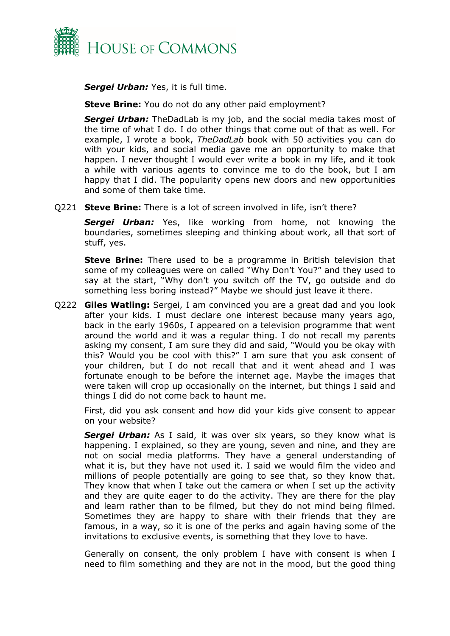

*Sergei Urban:* Yes, it is full time.

**Steve Brine:** You do not do any other paid employment?

*Sergei Urban:* TheDadLab is my job, and the social media takes most of the time of what I do. I do other things that come out of that as well. For example, I wrote a book, *TheDadLab* book with 50 activities you can do with your kids, and social media gave me an opportunity to make that happen. I never thought I would ever write a book in my life, and it took a while with various agents to convince me to do the book, but I am happy that I did. The popularity opens new doors and new opportunities and some of them take time.

Q221 **Steve Brine:** There is a lot of screen involved in life, isn't there?

*Sergei Urban:* Yes, like working from home, not knowing the boundaries, sometimes sleeping and thinking about work, all that sort of stuff, yes.

**Steve Brine:** There used to be a programme in British television that some of my colleagues were on called "Why Don't You?" and they used to say at the start, "Why don't you switch off the TV, go outside and do something less boring instead?" Maybe we should just leave it there.

Q222 **Giles Watling:** Sergei, I am convinced you are a great dad and you look after your kids. I must declare one interest because many years ago, back in the early 1960s, I appeared on a television programme that went around the world and it was a regular thing. I do not recall my parents asking my consent, I am sure they did and said, "Would you be okay with this? Would you be cool with this?" I am sure that you ask consent of your children, but I do not recall that and it went ahead and I was fortunate enough to be before the internet age. Maybe the images that were taken will crop up occasionally on the internet, but things I said and things I did do not come back to haunt me.

First, did you ask consent and how did your kids give consent to appear on your website?

*Sergei Urban:* As I said, it was over six years, so they know what is happening. I explained, so they are young, seven and nine, and they are not on social media platforms. They have a general understanding of what it is, but they have not used it. I said we would film the video and millions of people potentially are going to see that, so they know that. They know that when I take out the camera or when I set up the activity and they are quite eager to do the activity. They are there for the play and learn rather than to be filmed, but they do not mind being filmed. Sometimes they are happy to share with their friends that they are famous, in a way, so it is one of the perks and again having some of the invitations to exclusive events, is something that they love to have.

Generally on consent, the only problem I have with consent is when I need to film something and they are not in the mood, but the good thing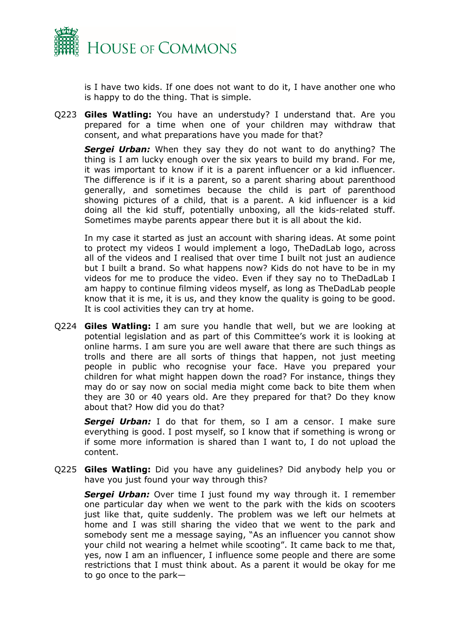

is I have two kids. If one does not want to do it, I have another one who is happy to do the thing. That is simple.

Q223 **Giles Watling:** You have an understudy? I understand that. Are you prepared for a time when one of your children may withdraw that consent, and what preparations have you made for that?

*Sergei Urban:* When they say they do not want to do anything? The thing is I am lucky enough over the six years to build my brand. For me, it was important to know if it is a parent influencer or a kid influencer. The difference is if it is a parent, so a parent sharing about parenthood generally, and sometimes because the child is part of parenthood showing pictures of a child, that is a parent. A kid influencer is a kid doing all the kid stuff, potentially unboxing, all the kids-related stuff. Sometimes maybe parents appear there but it is all about the kid.

In my case it started as just an account with sharing ideas. At some point to protect my videos I would implement a logo, TheDadLab logo, across all of the videos and I realised that over time I built not just an audience but I built a brand. So what happens now? Kids do not have to be in my videos for me to produce the video. Even if they say no to TheDadLab I am happy to continue filming videos myself, as long as TheDadLab people know that it is me, it is us, and they know the quality is going to be good. It is cool activities they can try at home.

Q224 **Giles Watling:** I am sure you handle that well, but we are looking at potential legislation and as part of this Committee's work it is looking at online harms. I am sure you are well aware that there are such things as trolls and there are all sorts of things that happen, not just meeting people in public who recognise your face. Have you prepared your children for what might happen down the road? For instance, things they may do or say now on social media might come back to bite them when they are 30 or 40 years old. Are they prepared for that? Do they know about that? How did you do that?

**Sergei Urban:** I do that for them, so I am a censor. I make sure everything is good. I post myself, so I know that if something is wrong or if some more information is shared than I want to, I do not upload the content.

Q225 **Giles Watling:** Did you have any guidelines? Did anybody help you or have you just found your way through this?

*Sergei Urban:* Over time I just found my way through it. I remember one particular day when we went to the park with the kids on scooters just like that, quite suddenly. The problem was we left our helmets at home and I was still sharing the video that we went to the park and somebody sent me a message saying, "As an influencer you cannot show your child not wearing a helmet while scooting". It came back to me that, yes, now I am an influencer, I influence some people and there are some restrictions that I must think about. As a parent it would be okay for me to go once to the park—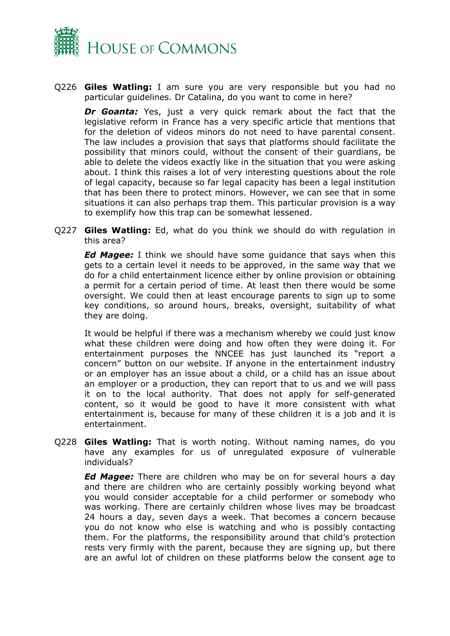

Q226 **Giles Watling:** I am sure you are very responsible but you had no particular guidelines. Dr Catalina, do you want to come in here?

*Dr Goanta:* Yes, just a very quick remark about the fact that the legislative reform in France has a very specific article that mentions that for the deletion of videos minors do not need to have parental consent. The law includes a provision that says that platforms should facilitate the possibility that minors could, without the consent of their guardians, be able to delete the videos exactly like in the situation that you were asking about. I think this raises a lot of very interesting questions about the role of legal capacity, because so far legal capacity has been a legal institution that has been there to protect minors. However, we can see that in some situations it can also perhaps trap them. This particular provision is a way to exemplify how this trap can be somewhat lessened.

Q227 **Giles Watling:** Ed, what do you think we should do with regulation in this area?

*Ed Magee:* I think we should have some guidance that says when this gets to a certain level it needs to be approved, in the same way that we do for a child entertainment licence either by online provision or obtaining a permit for a certain period of time. At least then there would be some oversight. We could then at least encourage parents to sign up to some key conditions, so around hours, breaks, oversight, suitability of what they are doing.

It would be helpful if there was a mechanism whereby we could just know what these children were doing and how often they were doing it. For entertainment purposes the NNCEE has just launched its "report a concern" button on our website. If anyone in the entertainment industry or an employer has an issue about a child, or a child has an issue about an employer or a production, they can report that to us and we will pass it on to the local authority. That does not apply for self-generated content, so it would be good to have it more consistent with what entertainment is, because for many of these children it is a job and it is entertainment.

Q228 **Giles Watling:** That is worth noting. Without naming names, do you have any examples for us of unregulated exposure of vulnerable individuals?

*Ed Magee:* There are children who may be on for several hours a day and there are children who are certainly possibly working beyond what you would consider acceptable for a child performer or somebody who was working. There are certainly children whose lives may be broadcast 24 hours a day, seven days a week. That becomes a concern because you do not know who else is watching and who is possibly contacting them. For the platforms, the responsibility around that child's protection rests very firmly with the parent, because they are signing up, but there are an awful lot of children on these platforms below the consent age to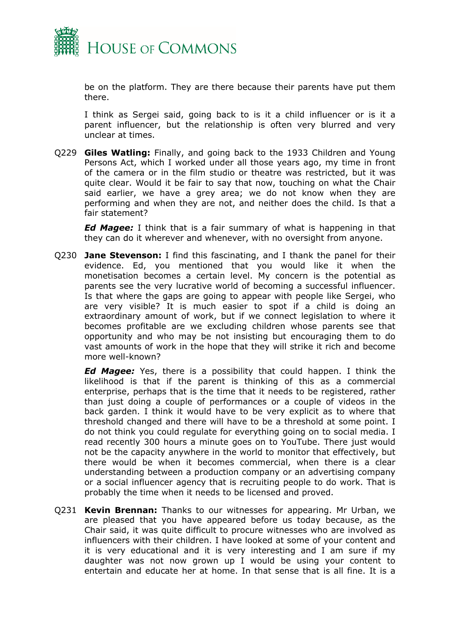

be on the platform. They are there because their parents have put them there.

I think as Sergei said, going back to is it a child influencer or is it a parent influencer, but the relationship is often very blurred and very unclear at times.

Q229 **Giles Watling:** Finally, and going back to the 1933 Children and Young Persons Act, which I worked under all those years ago, my time in front of the camera or in the film studio or theatre was restricted, but it was quite clear. Would it be fair to say that now, touching on what the Chair said earlier, we have a grey area; we do not know when they are performing and when they are not, and neither does the child. Is that a fair statement?

*Ed Magee:* I think that is a fair summary of what is happening in that they can do it wherever and whenever, with no oversight from anyone.

Q230 **Jane Stevenson:** I find this fascinating, and I thank the panel for their evidence. Ed, you mentioned that you would like it when the monetisation becomes a certain level. My concern is the potential as parents see the very lucrative world of becoming a successful influencer. Is that where the gaps are going to appear with people like Sergei, who are very visible? It is much easier to spot if a child is doing an extraordinary amount of work, but if we connect legislation to where it becomes profitable are we excluding children whose parents see that opportunity and who may be not insisting but encouraging them to do vast amounts of work in the hope that they will strike it rich and become more well-known?

*Ed Magee:* Yes, there is a possibility that could happen. I think the likelihood is that if the parent is thinking of this as a commercial enterprise, perhaps that is the time that it needs to be registered, rather than just doing a couple of performances or a couple of videos in the back garden. I think it would have to be very explicit as to where that threshold changed and there will have to be a threshold at some point. I do not think you could regulate for everything going on to social media. I read recently 300 hours a minute goes on to YouTube. There just would not be the capacity anywhere in the world to monitor that effectively, but there would be when it becomes commercial, when there is a clear understanding between a production company or an advertising company or a social influencer agency that is recruiting people to do work. That is probably the time when it needs to be licensed and proved.

Q231 **Kevin Brennan:** Thanks to our witnesses for appearing. Mr Urban, we are pleased that you have appeared before us today because, as the Chair said, it was quite difficult to procure witnesses who are involved as influencers with their children. I have looked at some of your content and it is very educational and it is very interesting and I am sure if my daughter was not now grown up I would be using your content to entertain and educate her at home. In that sense that is all fine. It is a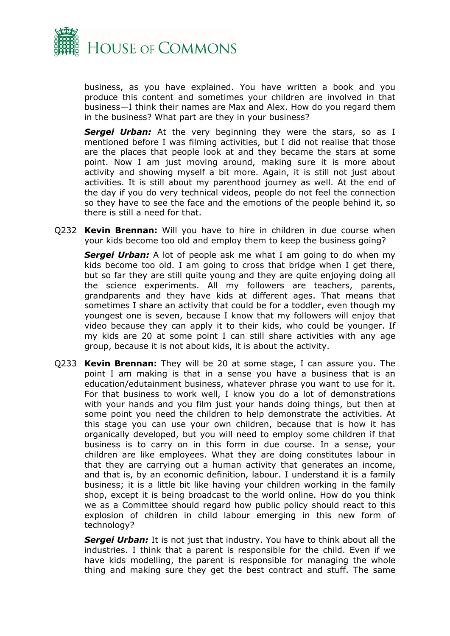

business, as you have explained. You have written a book and you produce this content and sometimes your children are involved in that business—I think their names are Max and Alex. How do you regard them in the business? What part are they in your business?

**Sergei Urban:** At the very beginning they were the stars, so as I mentioned before I was filming activities, but I did not realise that those are the places that people look at and they became the stars at some point. Now I am just moving around, making sure it is more about activity and showing myself a bit more. Again, it is still not just about activities. It is still about my parenthood journey as well. At the end of the day if you do very technical videos, people do not feel the connection so they have to see the face and the emotions of the people behind it, so there is still a need for that.

Q232 **Kevin Brennan:** Will you have to hire in children in due course when your kids become too old and employ them to keep the business going?

*Sergei Urban:* A lot of people ask me what I am going to do when my kids become too old. I am going to cross that bridge when I get there, but so far they are still quite young and they are quite enjoying doing all the science experiments. All my followers are teachers, parents, grandparents and they have kids at different ages. That means that sometimes I share an activity that could be for a toddler, even though my youngest one is seven, because I know that my followers will enjoy that video because they can apply it to their kids, who could be younger. If my kids are 20 at some point I can still share activities with any age group, because it is not about kids, it is about the activity.

Q233 **Kevin Brennan:** They will be 20 at some stage, I can assure you. The point I am making is that in a sense you have a business that is an education/edutainment business, whatever phrase you want to use for it. For that business to work well, I know you do a lot of demonstrations with your hands and you film just your hands doing things, but then at some point you need the children to help demonstrate the activities. At this stage you can use your own children, because that is how it has organically developed, but you will need to employ some children if that business is to carry on in this form in due course. In a sense, your children are like employees. What they are doing constitutes labour in that they are carrying out a human activity that generates an income, and that is, by an economic definition, labour. I understand it is a family business; it is a little bit like having your children working in the family shop, except it is being broadcast to the world online. How do you think we as a Committee should regard how public policy should react to this explosion of children in child labour emerging in this new form of technology?

**Sergei Urban:** It is not just that industry. You have to think about all the industries. I think that a parent is responsible for the child. Even if we have kids modelling, the parent is responsible for managing the whole thing and making sure they get the best contract and stuff. The same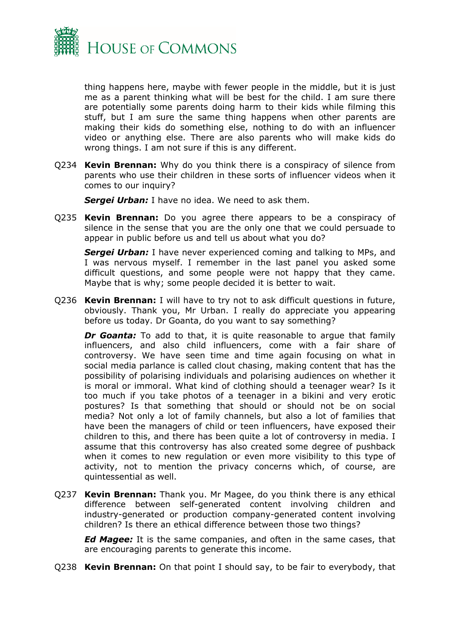

thing happens here, maybe with fewer people in the middle, but it is just me as a parent thinking what will be best for the child. I am sure there are potentially some parents doing harm to their kids while filming this stuff, but I am sure the same thing happens when other parents are making their kids do something else, nothing to do with an influencer video or anything else. There are also parents who will make kids do wrong things. I am not sure if this is any different.

Q234 **Kevin Brennan:** Why do you think there is a conspiracy of silence from parents who use their children in these sorts of influencer videos when it comes to our inquiry?

*Sergei Urban:* I have no idea. We need to ask them.

Q235 **Kevin Brennan:** Do you agree there appears to be a conspiracy of silence in the sense that you are the only one that we could persuade to appear in public before us and tell us about what you do?

*Sergei Urban:* I have never experienced coming and talking to MPs, and I was nervous myself. I remember in the last panel you asked some difficult questions, and some people were not happy that they came. Maybe that is why; some people decided it is better to wait.

Q236 **Kevin Brennan:** I will have to try not to ask difficult questions in future, obviously. Thank you, Mr Urban. I really do appreciate you appearing before us today. Dr Goanta, do you want to say something?

**Dr Goanta:** To add to that, it is quite reasonable to argue that family influencers, and also child influencers, come with a fair share of controversy. We have seen time and time again focusing on what in social media parlance is called clout chasing, making content that has the possibility of polarising individuals and polarising audiences on whether it is moral or immoral. What kind of clothing should a teenager wear? Is it too much if you take photos of a teenager in a bikini and very erotic postures? Is that something that should or should not be on social media? Not only a lot of family channels, but also a lot of families that have been the managers of child or teen influencers, have exposed their children to this, and there has been quite a lot of controversy in media. I assume that this controversy has also created some degree of pushback when it comes to new regulation or even more visibility to this type of activity, not to mention the privacy concerns which, of course, are quintessential as well.

Q237 **Kevin Brennan:** Thank you. Mr Magee, do you think there is any ethical difference between self-generated content involving children and industry-generated or production company-generated content involving children? Is there an ethical difference between those two things?

*Ed Magee:* It is the same companies, and often in the same cases, that are encouraging parents to generate this income.

Q238 **Kevin Brennan:** On that point I should say, to be fair to everybody, that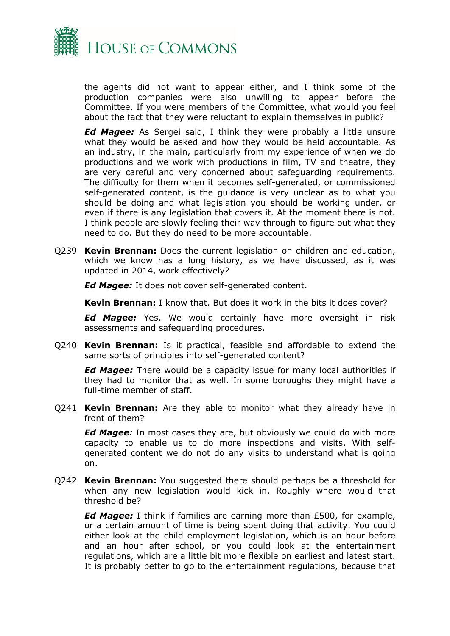

the agents did not want to appear either, and I think some of the production companies were also unwilling to appear before the Committee. If you were members of the Committee, what would you feel about the fact that they were reluctant to explain themselves in public?

*Ed Magee:* As Sergei said, I think they were probably a little unsure what they would be asked and how they would be held accountable. As an industry, in the main, particularly from my experience of when we do productions and we work with productions in film, TV and theatre, they are very careful and very concerned about safeguarding requirements. The difficulty for them when it becomes self-generated, or commissioned self-generated content, is the guidance is very unclear as to what you should be doing and what legislation you should be working under, or even if there is any legislation that covers it. At the moment there is not. I think people are slowly feeling their way through to figure out what they need to do. But they do need to be more accountable.

Q239 **Kevin Brennan:** Does the current legislation on children and education, which we know has a long history, as we have discussed, as it was updated in 2014, work effectively?

*Ed Magee:* It does not cover self-generated content.

**Kevin Brennan:** I know that. But does it work in the bits it does cover?

*Ed Magee:* Yes. We would certainly have more oversight in risk assessments and safeguarding procedures.

Q240 **Kevin Brennan:** Is it practical, feasible and affordable to extend the same sorts of principles into self-generated content?

*Ed Magee:* There would be a capacity issue for many local authorities if they had to monitor that as well. In some boroughs they might have a full-time member of staff.

Q241 **Kevin Brennan:** Are they able to monitor what they already have in front of them?

*Ed Magee:* In most cases they are, but obviously we could do with more capacity to enable us to do more inspections and visits. With selfgenerated content we do not do any visits to understand what is going on.

Q242 **Kevin Brennan:** You suggested there should perhaps be a threshold for when any new legislation would kick in. Roughly where would that threshold be?

*Ed Magee:* I think if families are earning more than £500, for example, or a certain amount of time is being spent doing that activity. You could either look at the child employment legislation, which is an hour before and an hour after school, or you could look at the entertainment regulations, which are a little bit more flexible on earliest and latest start. It is probably better to go to the entertainment regulations, because that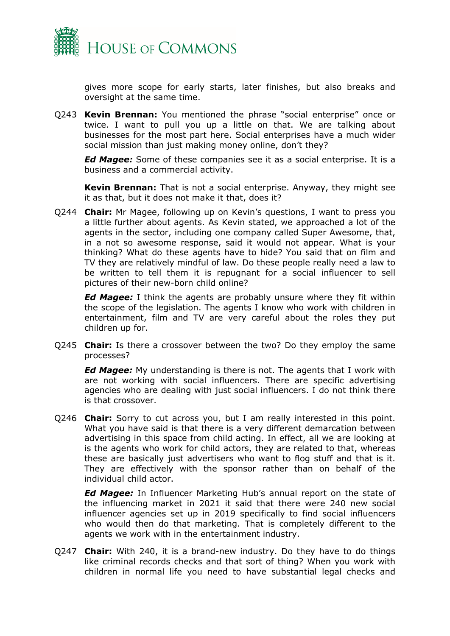

gives more scope for early starts, later finishes, but also breaks and oversight at the same time.

Q243 **Kevin Brennan:** You mentioned the phrase "social enterprise" once or twice. I want to pull you up a little on that. We are talking about businesses for the most part here. Social enterprises have a much wider social mission than just making money online, don't they?

*Ed Magee:* Some of these companies see it as a social enterprise. It is a business and a commercial activity.

**Kevin Brennan:** That is not a social enterprise. Anyway, they might see it as that, but it does not make it that, does it?

Q244 **Chair:** Mr Magee, following up on Kevin's questions, I want to press you a little further about agents. As Kevin stated, we approached a lot of the agents in the sector, including one company called Super Awesome, that, in a not so awesome response, said it would not appear. What is your thinking? What do these agents have to hide? You said that on film and TV they are relatively mindful of law. Do these people really need a law to be written to tell them it is repugnant for a social influencer to sell pictures of their new-born child online?

*Ed Magee:* I think the agents are probably unsure where they fit within the scope of the legislation. The agents I know who work with children in entertainment, film and TV are very careful about the roles they put children up for.

Q245 **Chair:** Is there a crossover between the two? Do they employ the same processes?

*Ed Magee:* My understanding is there is not. The agents that I work with are not working with social influencers. There are specific advertising agencies who are dealing with just social influencers. I do not think there is that crossover.

Q246 **Chair:** Sorry to cut across you, but I am really interested in this point. What you have said is that there is a very different demarcation between advertising in this space from child acting. In effect, all we are looking at is the agents who work for child actors, they are related to that, whereas these are basically just advertisers who want to flog stuff and that is it. They are effectively with the sponsor rather than on behalf of the individual child actor.

*Ed Magee:* In Influencer Marketing Hub's annual report on the state of the influencing market in 2021 it said that there were 240 new social influencer agencies set up in 2019 specifically to find social influencers who would then do that marketing. That is completely different to the agents we work with in the entertainment industry.

Q247 **Chair:** With 240, it is a brand-new industry. Do they have to do things like criminal records checks and that sort of thing? When you work with children in normal life you need to have substantial legal checks and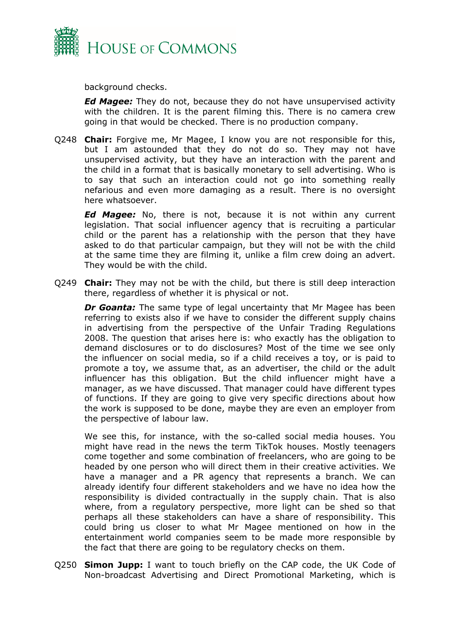

background checks.

*Ed Magee:* They do not, because they do not have unsupervised activity with the children. It is the parent filming this. There is no camera crew going in that would be checked. There is no production company.

Q248 **Chair:** Forgive me, Mr Magee, I know you are not responsible for this, but I am astounded that they do not do so. They may not have unsupervised activity, but they have an interaction with the parent and the child in a format that is basically monetary to sell advertising. Who is to say that such an interaction could not go into something really nefarious and even more damaging as a result. There is no oversight here whatsoever.

*Ed Magee:* No, there is not, because it is not within any current legislation. That social influencer agency that is recruiting a particular child or the parent has a relationship with the person that they have asked to do that particular campaign, but they will not be with the child at the same time they are filming it, unlike a film crew doing an advert. They would be with the child.

Q249 **Chair:** They may not be with the child, but there is still deep interaction there, regardless of whether it is physical or not.

*Dr Goanta:* The same type of legal uncertainty that Mr Magee has been referring to exists also if we have to consider the different supply chains in advertising from the perspective of the Unfair Trading Regulations 2008. The question that arises here is: who exactly has the obligation to demand disclosures or to do disclosures? Most of the time we see only the influencer on social media, so if a child receives a toy, or is paid to promote a toy, we assume that, as an advertiser, the child or the adult influencer has this obligation. But the child influencer might have a manager, as we have discussed. That manager could have different types of functions. If they are going to give very specific directions about how the work is supposed to be done, maybe they are even an employer from the perspective of labour law.

We see this, for instance, with the so-called social media houses. You might have read in the news the term TikTok houses. Mostly teenagers come together and some combination of freelancers, who are going to be headed by one person who will direct them in their creative activities. We have a manager and a PR agency that represents a branch. We can already identify four different stakeholders and we have no idea how the responsibility is divided contractually in the supply chain. That is also where, from a regulatory perspective, more light can be shed so that perhaps all these stakeholders can have a share of responsibility. This could bring us closer to what Mr Magee mentioned on how in the entertainment world companies seem to be made more responsible by the fact that there are going to be regulatory checks on them.

Q250 **Simon Jupp:** I want to touch briefly on the CAP code, the UK Code of Non-broadcast Advertising and Direct Promotional Marketing, which is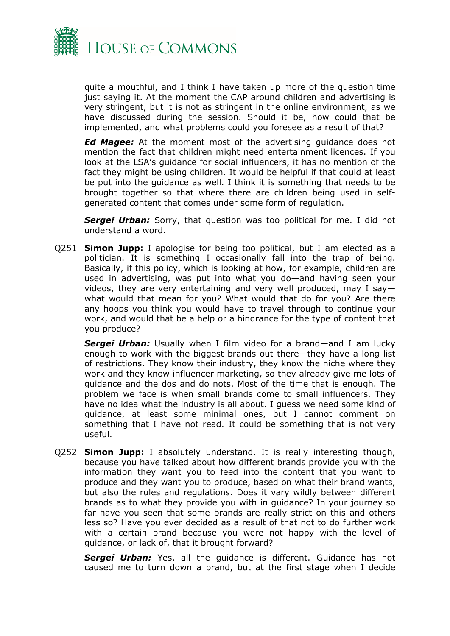

quite a mouthful, and I think I have taken up more of the question time just saying it. At the moment the CAP around children and advertising is very stringent, but it is not as stringent in the online environment, as we have discussed during the session. Should it be, how could that be implemented, and what problems could you foresee as a result of that?

*Ed Magee:* At the moment most of the advertising guidance does not mention the fact that children might need entertainment licences. If you look at the LSA's guidance for social influencers, it has no mention of the fact they might be using children. It would be helpful if that could at least be put into the guidance as well. I think it is something that needs to be brought together so that where there are children being used in selfgenerated content that comes under some form of regulation.

**Sergei Urban:** Sorry, that question was too political for me. I did not understand a word.

Q251 **Simon Jupp:** I apologise for being too political, but I am elected as a politician. It is something I occasionally fall into the trap of being. Basically, if this policy, which is looking at how, for example, children are used in advertising, was put into what you do—and having seen your videos, they are very entertaining and very well produced, may I say what would that mean for you? What would that do for you? Are there any hoops you think you would have to travel through to continue your work, and would that be a help or a hindrance for the type of content that you produce?

*Sergei Urban:* Usually when I film video for a brand—and I am lucky enough to work with the biggest brands out there—they have a long list of restrictions. They know their industry, they know the niche where they work and they know influencer marketing, so they already give me lots of guidance and the dos and do nots. Most of the time that is enough. The problem we face is when small brands come to small influencers. They have no idea what the industry is all about. I guess we need some kind of guidance, at least some minimal ones, but I cannot comment on something that I have not read. It could be something that is not very useful.

Q252 **Simon Jupp:** I absolutely understand. It is really interesting though, because you have talked about how different brands provide you with the information they want you to feed into the content that you want to produce and they want you to produce, based on what their brand wants, but also the rules and regulations. Does it vary wildly between different brands as to what they provide you with in guidance? In your journey so far have you seen that some brands are really strict on this and others less so? Have you ever decided as a result of that not to do further work with a certain brand because you were not happy with the level of guidance, or lack of, that it brought forward?

*Sergei Urban:* Yes, all the guidance is different. Guidance has not caused me to turn down a brand, but at the first stage when I decide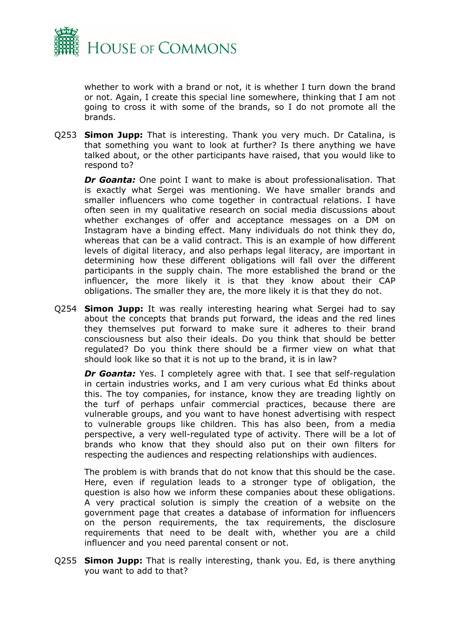

whether to work with a brand or not, it is whether I turn down the brand or not. Again, I create this special line somewhere, thinking that I am not going to cross it with some of the brands, so I do not promote all the brands.

Q253 **Simon Jupp:** That is interesting. Thank you very much. Dr Catalina, is that something you want to look at further? Is there anything we have talked about, or the other participants have raised, that you would like to respond to?

*Dr Goanta:* One point I want to make is about professionalisation. That is exactly what Sergei was mentioning. We have smaller brands and smaller influencers who come together in contractual relations. I have often seen in my qualitative research on social media discussions about whether exchanges of offer and acceptance messages on a DM on Instagram have a binding effect. Many individuals do not think they do, whereas that can be a valid contract. This is an example of how different levels of digital literacy, and also perhaps legal literacy, are important in determining how these different obligations will fall over the different participants in the supply chain. The more established the brand or the influencer, the more likely it is that they know about their CAP obligations. The smaller they are, the more likely it is that they do not.

Q254 **Simon Jupp:** It was really interesting hearing what Sergei had to say about the concepts that brands put forward, the ideas and the red lines they themselves put forward to make sure it adheres to their brand consciousness but also their ideals. Do you think that should be better regulated? Do you think there should be a firmer view on what that should look like so that it is not up to the brand, it is in law?

*Dr Goanta:* Yes. I completely agree with that. I see that self-regulation in certain industries works, and I am very curious what Ed thinks about this. The toy companies, for instance, know they are treading lightly on the turf of perhaps unfair commercial practices, because there are vulnerable groups, and you want to have honest advertising with respect to vulnerable groups like children. This has also been, from a media perspective, a very well-regulated type of activity. There will be a lot of brands who know that they should also put on their own filters for respecting the audiences and respecting relationships with audiences.

The problem is with brands that do not know that this should be the case. Here, even if regulation leads to a stronger type of obligation, the question is also how we inform these companies about these obligations. A very practical solution is simply the creation of a website on the government page that creates a database of information for influencers on the person requirements, the tax requirements, the disclosure requirements that need to be dealt with, whether you are a child influencer and you need parental consent or not.

Q255 **Simon Jupp:** That is really interesting, thank you. Ed, is there anything you want to add to that?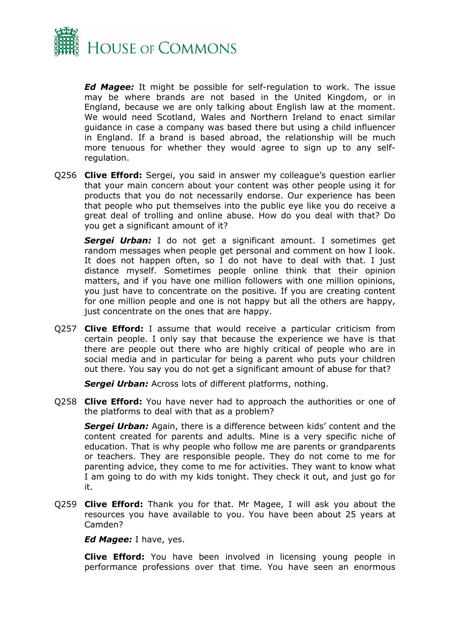

*Ed Magee:* It might be possible for self-regulation to work. The issue may be where brands are not based in the United Kingdom, or in England, because we are only talking about English law at the moment. We would need Scotland, Wales and Northern Ireland to enact similar guidance in case a company was based there but using a child influencer in England. If a brand is based abroad, the relationship will be much more tenuous for whether they would agree to sign up to any selfregulation.

Q256 **Clive Efford:** Sergei, you said in answer my colleague's question earlier that your main concern about your content was other people using it for products that you do not necessarily endorse. Our experience has been that people who put themselves into the public eye like you do receive a great deal of trolling and online abuse. How do you deal with that? Do you get a significant amount of it?

*Sergei Urban:* I do not get a significant amount. I sometimes get random messages when people get personal and comment on how I look. It does not happen often, so I do not have to deal with that. I just distance myself. Sometimes people online think that their opinion matters, and if you have one million followers with one million opinions, you just have to concentrate on the positive. If you are creating content for one million people and one is not happy but all the others are happy, just concentrate on the ones that are happy.

Q257 **Clive Efford:** I assume that would receive a particular criticism from certain people. I only say that because the experience we have is that there are people out there who are highly critical of people who are in social media and in particular for being a parent who puts your children out there. You say you do not get a significant amount of abuse for that?

*Sergei Urban:* Across lots of different platforms, nothing.

Q258 **Clive Efford:** You have never had to approach the authorities or one of the platforms to deal with that as a problem?

*Sergei Urban:* Again, there is a difference between kids' content and the content created for parents and adults. Mine is a very specific niche of education. That is why people who follow me are parents or grandparents or teachers. They are responsible people. They do not come to me for parenting advice, they come to me for activities. They want to know what I am going to do with my kids tonight. They check it out, and just go for it.

Q259 **Clive Efford:** Thank you for that. Mr Magee, I will ask you about the resources you have available to you. You have been about 25 years at Camden?

*Ed Magee:* I have, yes.

**Clive Efford:** You have been involved in licensing young people in performance professions over that time. You have seen an enormous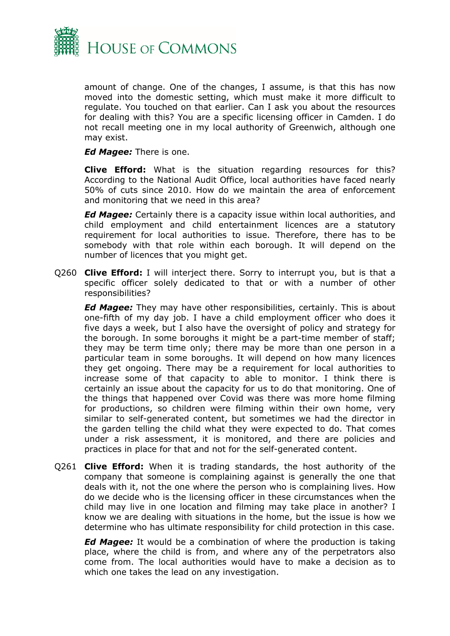

amount of change. One of the changes, I assume, is that this has now moved into the domestic setting, which must make it more difficult to regulate. You touched on that earlier. Can I ask you about the resources for dealing with this? You are a specific licensing officer in Camden. I do not recall meeting one in my local authority of Greenwich, although one may exist.

*Ed Magee:* There is one.

**Clive Efford:** What is the situation regarding resources for this? According to the National Audit Office, local authorities have faced nearly 50% of cuts since 2010. How do we maintain the area of enforcement and monitoring that we need in this area?

*Ed Magee:* Certainly there is a capacity issue within local authorities, and child employment and child entertainment licences are a statutory requirement for local authorities to issue. Therefore, there has to be somebody with that role within each borough. It will depend on the number of licences that you might get.

Q260 **Clive Efford:** I will interject there. Sorry to interrupt you, but is that a specific officer solely dedicated to that or with a number of other responsibilities?

*Ed Magee:* They may have other responsibilities, certainly. This is about one-fifth of my day job. I have a child employment officer who does it five days a week, but I also have the oversight of policy and strategy for the borough. In some boroughs it might be a part-time member of staff; they may be term time only; there may be more than one person in a particular team in some boroughs. It will depend on how many licences they get ongoing. There may be a requirement for local authorities to increase some of that capacity to able to monitor. I think there is certainly an issue about the capacity for us to do that monitoring. One of the things that happened over Covid was there was more home filming for productions, so children were filming within their own home, very similar to self-generated content, but sometimes we had the director in the garden telling the child what they were expected to do. That comes under a risk assessment, it is monitored, and there are policies and practices in place for that and not for the self-generated content.

Q261 **Clive Efford:** When it is trading standards, the host authority of the company that someone is complaining against is generally the one that deals with it, not the one where the person who is complaining lives. How do we decide who is the licensing officer in these circumstances when the child may live in one location and filming may take place in another? I know we are dealing with situations in the home, but the issue is how we determine who has ultimate responsibility for child protection in this case.

*Ed Magee:* It would be a combination of where the production is taking place, where the child is from, and where any of the perpetrators also come from. The local authorities would have to make a decision as to which one takes the lead on any investigation.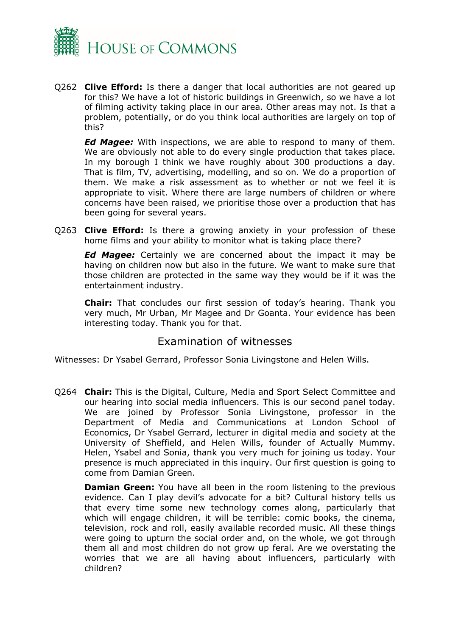

Q262 **Clive Efford:** Is there a danger that local authorities are not geared up for this? We have a lot of historic buildings in Greenwich, so we have a lot of filming activity taking place in our area. Other areas may not. Is that a problem, potentially, or do you think local authorities are largely on top of this?

*Ed Magee:* With inspections, we are able to respond to many of them. We are obviously not able to do every single production that takes place. In my borough I think we have roughly about 300 productions a day. That is film, TV, advertising, modelling, and so on. We do a proportion of them. We make a risk assessment as to whether or not we feel it is appropriate to visit. Where there are large numbers of children or where concerns have been raised, we prioritise those over a production that has been going for several years.

Q263 **Clive Efford:** Is there a growing anxiety in your profession of these home films and your ability to monitor what is taking place there?

*Ed Magee:* Certainly we are concerned about the impact it may be having on children now but also in the future. We want to make sure that those children are protected in the same way they would be if it was the entertainment industry.

**Chair:** That concludes our first session of today's hearing. Thank you very much, Mr Urban, Mr Magee and Dr Goanta. Your evidence has been interesting today. Thank you for that.

### Examination of witnesses

Witnesses: Dr Ysabel Gerrard, Professor Sonia Livingstone and Helen Wills.

Q264 **Chair:** This is the Digital, Culture, Media and Sport Select Committee and our hearing into social media influencers. This is our second panel today. We are joined by Professor Sonia Livingstone, professor in the Department of Media and Communications at London School of Economics, Dr Ysabel Gerrard, lecturer in digital media and society at the University of Sheffield, and Helen Wills, founder of Actually Mummy. Helen, Ysabel and Sonia, thank you very much for joining us today. Your presence is much appreciated in this inquiry. Our first question is going to come from Damian Green.

**Damian Green:** You have all been in the room listening to the previous evidence. Can I play devil's advocate for a bit? Cultural history tells us that every time some new technology comes along, particularly that which will engage children, it will be terrible: comic books, the cinema, television, rock and roll, easily available recorded music. All these things were going to upturn the social order and, on the whole, we got through them all and most children do not grow up feral. Are we overstating the worries that we are all having about influencers, particularly with children?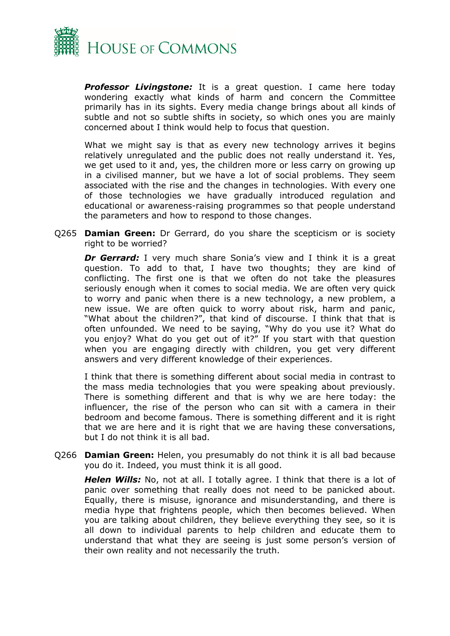

*Professor Livingstone:* It is a great question. I came here today wondering exactly what kinds of harm and concern the Committee primarily has in its sights. Every media change brings about all kinds of subtle and not so subtle shifts in society, so which ones you are mainly concerned about I think would help to focus that question.

What we might say is that as every new technology arrives it begins relatively unregulated and the public does not really understand it. Yes, we get used to it and, yes, the children more or less carry on growing up in a civilised manner, but we have a lot of social problems. They seem associated with the rise and the changes in technologies. With every one of those technologies we have gradually introduced regulation and educational or awareness-raising programmes so that people understand the parameters and how to respond to those changes.

Q265 **Damian Green:** Dr Gerrard, do you share the scepticism or is society right to be worried?

**Dr Gerrard:** I very much share Sonia's view and I think it is a great question. To add to that, I have two thoughts; they are kind of conflicting. The first one is that we often do not take the pleasures seriously enough when it comes to social media. We are often very quick to worry and panic when there is a new technology, a new problem, a new issue. We are often quick to worry about risk, harm and panic, "What about the children?", that kind of discourse. I think that that is often unfounded. We need to be saying, "Why do you use it? What do you enjoy? What do you get out of it?" If you start with that question when you are engaging directly with children, you get very different answers and very different knowledge of their experiences.

I think that there is something different about social media in contrast to the mass media technologies that you were speaking about previously. There is something different and that is why we are here today: the influencer, the rise of the person who can sit with a camera in their bedroom and become famous. There is something different and it is right that we are here and it is right that we are having these conversations, but I do not think it is all bad.

Q266 **Damian Green:** Helen, you presumably do not think it is all bad because you do it. Indeed, you must think it is all good.

*Helen Wills:* No, not at all. I totally agree. I think that there is a lot of panic over something that really does not need to be panicked about. Equally, there is misuse, ignorance and misunderstanding, and there is media hype that frightens people, which then becomes believed. When you are talking about children, they believe everything they see, so it is all down to individual parents to help children and educate them to understand that what they are seeing is just some person's version of their own reality and not necessarily the truth.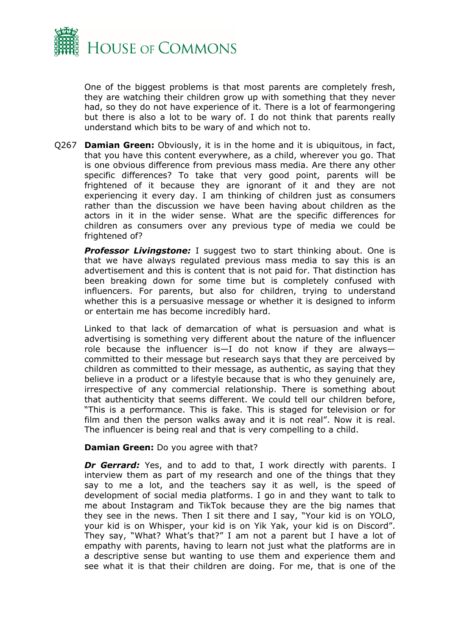

One of the biggest problems is that most parents are completely fresh, they are watching their children grow up with something that they never had, so they do not have experience of it. There is a lot of fearmongering but there is also a lot to be wary of. I do not think that parents really understand which bits to be wary of and which not to.

Q267 **Damian Green:** Obviously, it is in the home and it is ubiquitous, in fact, that you have this content everywhere, as a child, wherever you go. That is one obvious difference from previous mass media. Are there any other specific differences? To take that very good point, parents will be frightened of it because they are ignorant of it and they are not experiencing it every day. I am thinking of children just as consumers rather than the discussion we have been having about children as the actors in it in the wider sense. What are the specific differences for children as consumers over any previous type of media we could be frightened of?

**Professor Livingstone:** I suggest two to start thinking about. One is that we have always regulated previous mass media to say this is an advertisement and this is content that is not paid for. That distinction has been breaking down for some time but is completely confused with influencers. For parents, but also for children, trying to understand whether this is a persuasive message or whether it is designed to inform or entertain me has become incredibly hard.

Linked to that lack of demarcation of what is persuasion and what is advertising is something very different about the nature of the influencer role because the influencer is—I do not know if they are always committed to their message but research says that they are perceived by children as committed to their message, as authentic, as saying that they believe in a product or a lifestyle because that is who they genuinely are, irrespective of any commercial relationship. There is something about that authenticity that seems different. We could tell our children before, "This is a performance. This is fake. This is staged for television or for film and then the person walks away and it is not real". Now it is real. The influencer is being real and that is very compelling to a child.

#### **Damian Green:** Do you agree with that?

**Dr Gerrard:** Yes, and to add to that, I work directly with parents. I interview them as part of my research and one of the things that they say to me a lot, and the teachers say it as well, is the speed of development of social media platforms. I go in and they want to talk to me about Instagram and TikTok because they are the big names that they see in the news. Then I sit there and I say, "Your kid is on YOLO, your kid is on Whisper, your kid is on Yik Yak, your kid is on Discord". They say, "What? What's that?" I am not a parent but I have a lot of empathy with parents, having to learn not just what the platforms are in a descriptive sense but wanting to use them and experience them and see what it is that their children are doing. For me, that is one of the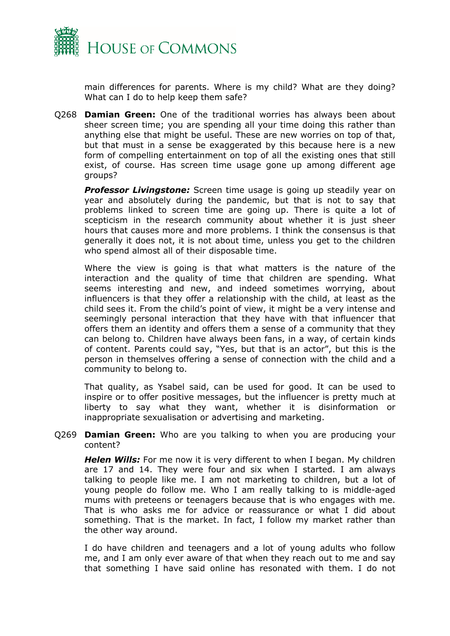

main differences for parents. Where is my child? What are they doing? What can I do to help keep them safe?

Q268 **Damian Green:** One of the traditional worries has always been about sheer screen time; you are spending all your time doing this rather than anything else that might be useful. These are new worries on top of that, but that must in a sense be exaggerated by this because here is a new form of compelling entertainment on top of all the existing ones that still exist, of course. Has screen time usage gone up among different age groups?

**Professor Livingstone:** Screen time usage is going up steadily year on year and absolutely during the pandemic, but that is not to say that problems linked to screen time are going up. There is quite a lot of scepticism in the research community about whether it is just sheer hours that causes more and more problems. I think the consensus is that generally it does not, it is not about time, unless you get to the children who spend almost all of their disposable time.

Where the view is going is that what matters is the nature of the interaction and the quality of time that children are spending. What seems interesting and new, and indeed sometimes worrying, about influencers is that they offer a relationship with the child, at least as the child sees it. From the child's point of view, it might be a very intense and seemingly personal interaction that they have with that influencer that offers them an identity and offers them a sense of a community that they can belong to. Children have always been fans, in a way, of certain kinds of content. Parents could say, "Yes, but that is an actor", but this is the person in themselves offering a sense of connection with the child and a community to belong to.

That quality, as Ysabel said, can be used for good. It can be used to inspire or to offer positive messages, but the influencer is pretty much at liberty to say what they want, whether it is disinformation or inappropriate sexualisation or advertising and marketing.

Q269 **Damian Green:** Who are you talking to when you are producing your content?

*Helen Wills:* For me now it is very different to when I began. My children are 17 and 14. They were four and six when I started. I am always talking to people like me. I am not marketing to children, but a lot of young people do follow me. Who I am really talking to is middle-aged mums with preteens or teenagers because that is who engages with me. That is who asks me for advice or reassurance or what I did about something. That is the market. In fact, I follow my market rather than the other way around.

I do have children and teenagers and a lot of young adults who follow me, and I am only ever aware of that when they reach out to me and say that something I have said online has resonated with them. I do not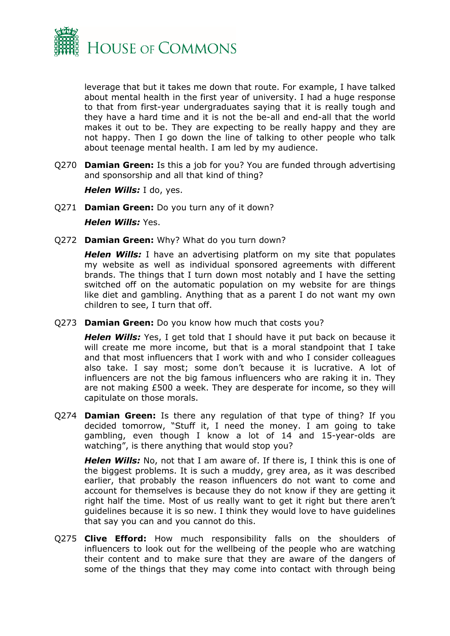

leverage that but it takes me down that route. For example, I have talked about mental health in the first year of university. I had a huge response to that from first-year undergraduates saying that it is really tough and they have a hard time and it is not the be-all and end-all that the world makes it out to be. They are expecting to be really happy and they are not happy. Then I go down the line of talking to other people who talk about teenage mental health. I am led by my audience.

Q270 **Damian Green:** Is this a job for you? You are funded through advertising and sponsorship and all that kind of thing?

*Helen Wills:* I do, yes.

Q271 **Damian Green:** Do you turn any of it down?

*Helen Wills:* Yes.

Q272 **Damian Green:** Why? What do you turn down?

*Helen Wills:* I have an advertising platform on my site that populates my website as well as individual sponsored agreements with different brands. The things that I turn down most notably and I have the setting switched off on the automatic population on my website for are things like diet and gambling. Anything that as a parent I do not want my own children to see, I turn that off.

Q273 **Damian Green:** Do you know how much that costs you?

*Helen Wills:* Yes, I get told that I should have it put back on because it will create me more income, but that is a moral standpoint that I take and that most influencers that I work with and who I consider colleagues also take. I say most; some don't because it is lucrative. A lot of influencers are not the big famous influencers who are raking it in. They are not making £500 a week. They are desperate for income, so they will capitulate on those morals.

Q274 **Damian Green:** Is there any regulation of that type of thing? If you decided tomorrow, "Stuff it, I need the money. I am going to take gambling, even though I know a lot of 14 and 15-year-olds are watching", is there anything that would stop you?

*Helen Wills:* No, not that I am aware of. If there is, I think this is one of the biggest problems. It is such a muddy, grey area, as it was described earlier, that probably the reason influencers do not want to come and account for themselves is because they do not know if they are getting it right half the time. Most of us really want to get it right but there aren't guidelines because it is so new. I think they would love to have guidelines that say you can and you cannot do this.

Q275 **Clive Efford:** How much responsibility falls on the shoulders of influencers to look out for the wellbeing of the people who are watching their content and to make sure that they are aware of the dangers of some of the things that they may come into contact with through being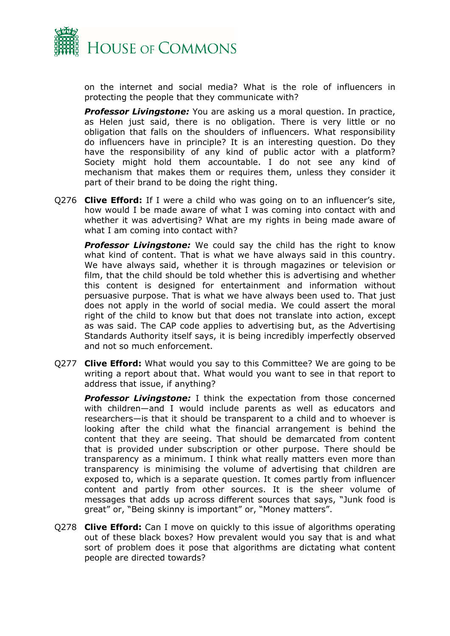

on the internet and social media? What is the role of influencers in protecting the people that they communicate with?

*Professor Livingstone:* You are asking us a moral question. In practice, as Helen just said, there is no obligation. There is very little or no obligation that falls on the shoulders of influencers. What responsibility do influencers have in principle? It is an interesting question. Do they have the responsibility of any kind of public actor with a platform? Society might hold them accountable. I do not see any kind of mechanism that makes them or requires them, unless they consider it part of their brand to be doing the right thing.

Q276 **Clive Efford:** If I were a child who was going on to an influencer's site, how would I be made aware of what I was coming into contact with and whether it was advertising? What are my rights in being made aware of what I am coming into contact with?

**Professor Livingstone:** We could say the child has the right to know what kind of content. That is what we have always said in this country. We have always said, whether it is through magazines or television or film, that the child should be told whether this is advertising and whether this content is designed for entertainment and information without persuasive purpose. That is what we have always been used to. That just does not apply in the world of social media. We could assert the moral right of the child to know but that does not translate into action, except as was said. The CAP code applies to advertising but, as the Advertising Standards Authority itself says, it is being incredibly imperfectly observed and not so much enforcement.

Q277 **Clive Efford:** What would you say to this Committee? We are going to be writing a report about that. What would you want to see in that report to address that issue, if anything?

*Professor Livingstone:* I think the expectation from those concerned with children—and I would include parents as well as educators and researchers—is that it should be transparent to a child and to whoever is looking after the child what the financial arrangement is behind the content that they are seeing. That should be demarcated from content that is provided under subscription or other purpose. There should be transparency as a minimum. I think what really matters even more than transparency is minimising the volume of advertising that children are exposed to, which is a separate question. It comes partly from influencer content and partly from other sources. It is the sheer volume of messages that adds up across different sources that says, "Junk food is great" or, "Being skinny is important" or, "Money matters".

Q278 **Clive Efford:** Can I move on quickly to this issue of algorithms operating out of these black boxes? How prevalent would you say that is and what sort of problem does it pose that algorithms are dictating what content people are directed towards?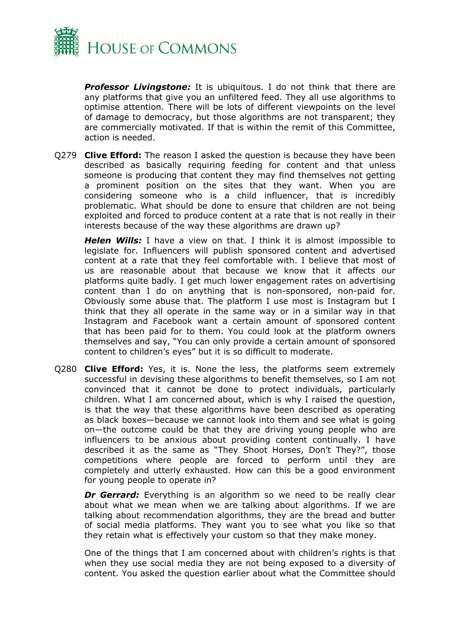

**Professor Livingstone:** It is ubiquitous. I do not think that there are any platforms that give you an unfiltered feed. They all use algorithms to optimise attention. There will be lots of different viewpoints on the level of damage to democracy, but those algorithms are not transparent; they are commercially motivated. If that is within the remit of this Committee, action is needed.

Q279 **Clive Efford:** The reason I asked the question is because they have been described as basically requiring feeding for content and that unless someone is producing that content they may find themselves not getting a prominent position on the sites that they want. When you are considering someone who is a child influencer, that is incredibly problematic. What should be done to ensure that children are not being exploited and forced to produce content at a rate that is not really in their interests because of the way these algorithms are drawn up?

*Helen Wills:* I have a view on that. I think it is almost impossible to legislate for. Influencers will publish sponsored content and advertised content at a rate that they feel comfortable with. I believe that most of us are reasonable about that because we know that it affects our platforms quite badly. I get much lower engagement rates on advertising content than I do on anything that is non-sponsored, non-paid for. Obviously some abuse that. The platform I use most is Instagram but I think that they all operate in the same way or in a similar way in that Instagram and Facebook want a certain amount of sponsored content that has been paid for to them. You could look at the platform owners themselves and say, "You can only provide a certain amount of sponsored content to children's eyes" but it is so difficult to moderate.

Q280 **Clive Efford:** Yes, it is. None the less, the platforms seem extremely successful in devising these algorithms to benefit themselves, so I am not convinced that it cannot be done to protect individuals, particularly children. What I am concerned about, which is why I raised the question, is that the way that these algorithms have been described as operating as black boxes—because we cannot look into them and see what is going on—the outcome could be that they are driving young people who are influencers to be anxious about providing content continually. I have described it as the same as "They Shoot Horses, Don't They?", those competitions where people are forced to perform until they are completely and utterly exhausted. How can this be a good environment for young people to operate in?

**Dr Gerrard:** Everything is an algorithm so we need to be really clear about what we mean when we are talking about algorithms. If we are talking about recommendation algorithms, they are the bread and butter of social media platforms. They want you to see what you like so that they retain what is effectively your custom so that they make money.

One of the things that I am concerned about with children's rights is that when they use social media they are not being exposed to a diversity of content. You asked the question earlier about what the Committee should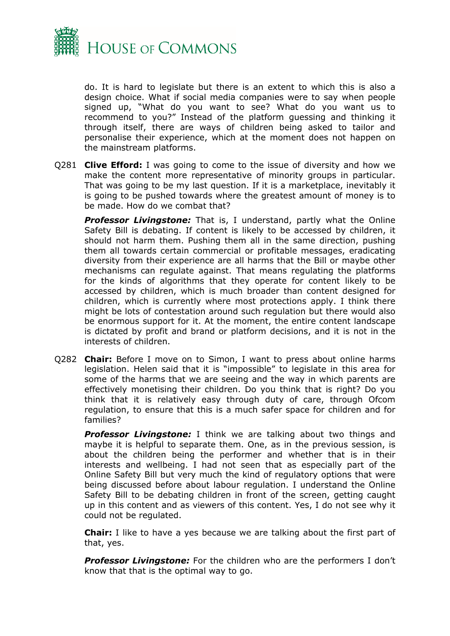

do. It is hard to legislate but there is an extent to which this is also a design choice. What if social media companies were to say when people signed up, "What do you want to see? What do you want us to recommend to you?" Instead of the platform guessing and thinking it through itself, there are ways of children being asked to tailor and personalise their experience, which at the moment does not happen on the mainstream platforms.

Q281 **Clive Efford:** I was going to come to the issue of diversity and how we make the content more representative of minority groups in particular. That was going to be my last question. If it is a marketplace, inevitably it is going to be pushed towards where the greatest amount of money is to be made. How do we combat that?

**Professor Livingstone:** That is, I understand, partly what the Online Safety Bill is debating. If content is likely to be accessed by children, it should not harm them. Pushing them all in the same direction, pushing them all towards certain commercial or profitable messages, eradicating diversity from their experience are all harms that the Bill or maybe other mechanisms can regulate against. That means regulating the platforms for the kinds of algorithms that they operate for content likely to be accessed by children, which is much broader than content designed for children, which is currently where most protections apply. I think there might be lots of contestation around such regulation but there would also be enormous support for it. At the moment, the entire content landscape is dictated by profit and brand or platform decisions, and it is not in the interests of children.

Q282 **Chair:** Before I move on to Simon, I want to press about online harms legislation. Helen said that it is "impossible" to legislate in this area for some of the harms that we are seeing and the way in which parents are effectively monetising their children. Do you think that is right? Do you think that it is relatively easy through duty of care, through Ofcom regulation, to ensure that this is a much safer space for children and for families?

*Professor Livingstone:* I think we are talking about two things and maybe it is helpful to separate them. One, as in the previous session, is about the children being the performer and whether that is in their interests and wellbeing. I had not seen that as especially part of the Online Safety Bill but very much the kind of regulatory options that were being discussed before about labour regulation. I understand the Online Safety Bill to be debating children in front of the screen, getting caught up in this content and as viewers of this content. Yes, I do not see why it could not be regulated.

**Chair:** I like to have a yes because we are talking about the first part of that, yes.

*Professor Livingstone:* For the children who are the performers I don't know that that is the optimal way to go.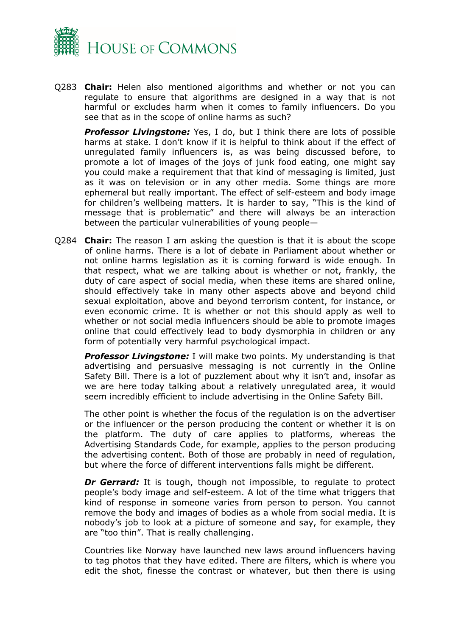

Q283 **Chair:** Helen also mentioned algorithms and whether or not you can regulate to ensure that algorithms are designed in a way that is not harmful or excludes harm when it comes to family influencers. Do you see that as in the scope of online harms as such?

*Professor Livingstone:* Yes, I do, but I think there are lots of possible harms at stake. I don't know if it is helpful to think about if the effect of unregulated family influencers is, as was being discussed before, to promote a lot of images of the joys of junk food eating, one might say you could make a requirement that that kind of messaging is limited, just as it was on television or in any other media. Some things are more ephemeral but really important. The effect of self-esteem and body image for children's wellbeing matters. It is harder to say, "This is the kind of message that is problematic" and there will always be an interaction between the particular vulnerabilities of young people—

Q284 **Chair:** The reason I am asking the question is that it is about the scope of online harms. There is a lot of debate in Parliament about whether or not online harms legislation as it is coming forward is wide enough. In that respect, what we are talking about is whether or not, frankly, the duty of care aspect of social media, when these items are shared online, should effectively take in many other aspects above and beyond child sexual exploitation, above and beyond terrorism content, for instance, or even economic crime. It is whether or not this should apply as well to whether or not social media influencers should be able to promote images online that could effectively lead to body dysmorphia in children or any form of potentially very harmful psychological impact.

**Professor Livingstone:** I will make two points. My understanding is that advertising and persuasive messaging is not currently in the Online Safety Bill. There is a lot of puzzlement about why it isn't and, insofar as we are here today talking about a relatively unregulated area, it would seem incredibly efficient to include advertising in the Online Safety Bill.

The other point is whether the focus of the regulation is on the advertiser or the influencer or the person producing the content or whether it is on the platform. The duty of care applies to platforms, whereas the Advertising Standards Code, for example, applies to the person producing the advertising content. Both of those are probably in need of regulation, but where the force of different interventions falls might be different.

**Dr Gerrard:** It is tough, though not impossible, to regulate to protect people's body image and self-esteem. A lot of the time what triggers that kind of response in someone varies from person to person. You cannot remove the body and images of bodies as a whole from social media. It is nobody's job to look at a picture of someone and say, for example, they are "too thin". That is really challenging.

Countries like Norway have launched new laws around influencers having to tag photos that they have edited. There are filters, which is where you edit the shot, finesse the contrast or whatever, but then there is using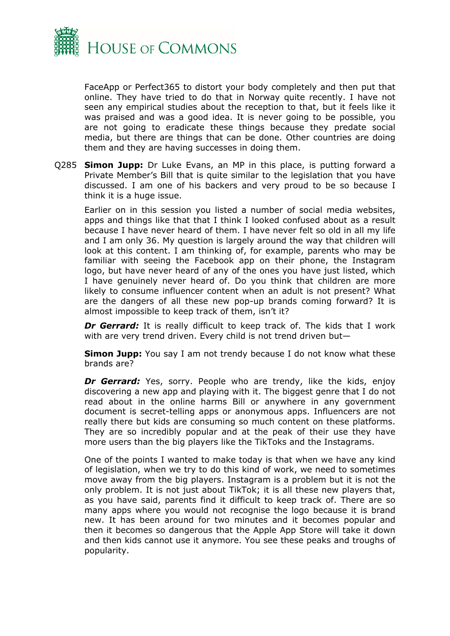

FaceApp or Perfect365 to distort your body completely and then put that online. They have tried to do that in Norway quite recently. I have not seen any empirical studies about the reception to that, but it feels like it was praised and was a good idea. It is never going to be possible, you are not going to eradicate these things because they predate social media, but there are things that can be done. Other countries are doing them and they are having successes in doing them.

Q285 **Simon Jupp:** Dr Luke Evans, an MP in this place, is putting forward a Private Member's Bill that is quite similar to the legislation that you have discussed. I am one of his backers and very proud to be so because I think it is a huge issue.

Earlier on in this session you listed a number of social media websites, apps and things like that that I think I looked confused about as a result because I have never heard of them. I have never felt so old in all my life and I am only 36. My question is largely around the way that children will look at this content. I am thinking of, for example, parents who may be familiar with seeing the Facebook app on their phone, the Instagram logo, but have never heard of any of the ones you have just listed, which I have genuinely never heard of. Do you think that children are more likely to consume influencer content when an adult is not present? What are the dangers of all these new pop-up brands coming forward? It is almost impossible to keep track of them, isn't it?

**Dr Gerrard:** It is really difficult to keep track of. The kids that I work with are very trend driven. Every child is not trend driven but—

**Simon Jupp:** You say I am not trendy because I do not know what these brands are?

**Dr Gerrard:** Yes, sorry. People who are trendy, like the kids, enjoy discovering a new app and playing with it. The biggest genre that I do not read about in the online harms Bill or anywhere in any government document is secret-telling apps or anonymous apps. Influencers are not really there but kids are consuming so much content on these platforms. They are so incredibly popular and at the peak of their use they have more users than the big players like the TikToks and the Instagrams.

One of the points I wanted to make today is that when we have any kind of legislation, when we try to do this kind of work, we need to sometimes move away from the big players. Instagram is a problem but it is not the only problem. It is not just about TikTok; it is all these new players that, as you have said, parents find it difficult to keep track of. There are so many apps where you would not recognise the logo because it is brand new. It has been around for two minutes and it becomes popular and then it becomes so dangerous that the Apple App Store will take it down and then kids cannot use it anymore. You see these peaks and troughs of popularity.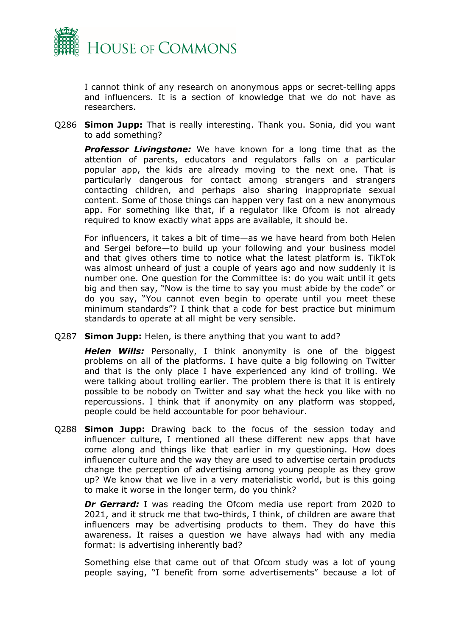

I cannot think of any research on anonymous apps or secret-telling apps and influencers. It is a section of knowledge that we do not have as researchers.

Q286 **Simon Jupp:** That is really interesting. Thank you. Sonia, did you want to add something?

*Professor Livingstone:* We have known for a long time that as the attention of parents, educators and regulators falls on a particular popular app, the kids are already moving to the next one. That is particularly dangerous for contact among strangers and strangers contacting children, and perhaps also sharing inappropriate sexual content. Some of those things can happen very fast on a new anonymous app. For something like that, if a regulator like Ofcom is not already required to know exactly what apps are available, it should be.

For influencers, it takes a bit of time—as we have heard from both Helen and Sergei before—to build up your following and your business model and that gives others time to notice what the latest platform is. TikTok was almost unheard of just a couple of years ago and now suddenly it is number one. One question for the Committee is: do you wait until it gets big and then say, "Now is the time to say you must abide by the code" or do you say, "You cannot even begin to operate until you meet these minimum standards"? I think that a code for best practice but minimum standards to operate at all might be very sensible.

Q287 **Simon Jupp:** Helen, is there anything that you want to add?

*Helen Wills:* Personally, I think anonymity is one of the biggest problems on all of the platforms. I have quite a big following on Twitter and that is the only place I have experienced any kind of trolling. We were talking about trolling earlier. The problem there is that it is entirely possible to be nobody on Twitter and say what the heck you like with no repercussions. I think that if anonymity on any platform was stopped, people could be held accountable for poor behaviour.

Q288 **Simon Jupp:** Drawing back to the focus of the session today and influencer culture, I mentioned all these different new apps that have come along and things like that earlier in my questioning. How does influencer culture and the way they are used to advertise certain products change the perception of advertising among young people as they grow up? We know that we live in a very materialistic world, but is this going to make it worse in the longer term, do you think?

**Dr Gerrard:** I was reading the Ofcom media use report from 2020 to 2021, and it struck me that two-thirds, I think, of children are aware that influencers may be advertising products to them. They do have this awareness. It raises a question we have always had with any media format: is advertising inherently bad?

Something else that came out of that Ofcom study was a lot of young people saying, "I benefit from some advertisements" because a lot of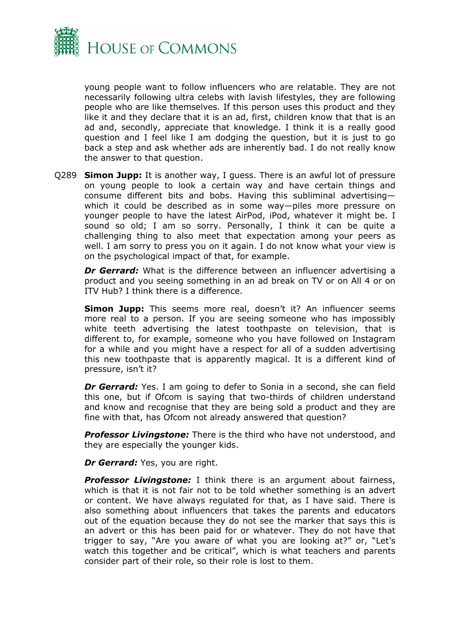

young people want to follow influencers who are relatable. They are not necessarily following ultra celebs with lavish lifestyles, they are following people who are like themselves. If this person uses this product and they like it and they declare that it is an ad, first, children know that that is an ad and, secondly, appreciate that knowledge. I think it is a really good question and I feel like I am dodging the question, but it is just to go back a step and ask whether ads are inherently bad. I do not really know the answer to that question.

Q289 **Simon Jupp:** It is another way, I guess. There is an awful lot of pressure on young people to look a certain way and have certain things and consume different bits and bobs. Having this subliminal advertising which it could be described as in some way—piles more pressure on younger people to have the latest AirPod, iPod, whatever it might be. I sound so old; I am so sorry. Personally, I think it can be quite a challenging thing to also meet that expectation among your peers as well. I am sorry to press you on it again. I do not know what your view is on the psychological impact of that, for example.

*Dr Gerrard:* What is the difference between an influencer advertising a product and you seeing something in an ad break on TV or on All 4 or on ITV Hub? I think there is a difference.

**Simon Jupp:** This seems more real, doesn't it? An influencer seems more real to a person. If you are seeing someone who has impossibly white teeth advertising the latest toothpaste on television, that is different to, for example, someone who you have followed on Instagram for a while and you might have a respect for all of a sudden advertising this new toothpaste that is apparently magical. It is a different kind of pressure, isn't it?

**Dr Gerrard:** Yes. I am going to defer to Sonia in a second, she can field this one, but if Ofcom is saying that two-thirds of children understand and know and recognise that they are being sold a product and they are fine with that, has Ofcom not already answered that question?

*Professor Livingstone:* There is the third who have not understood, and they are especially the younger kids.

*Dr Gerrard:* Yes, you are right.

**Professor Livingstone:** I think there is an argument about fairness, which is that it is not fair not to be told whether something is an advert or content. We have always regulated for that, as I have said. There is also something about influencers that takes the parents and educators out of the equation because they do not see the marker that says this is an advert or this has been paid for or whatever. They do not have that trigger to say, "Are you aware of what you are looking at?" or, "Let's watch this together and be critical", which is what teachers and parents consider part of their role, so their role is lost to them.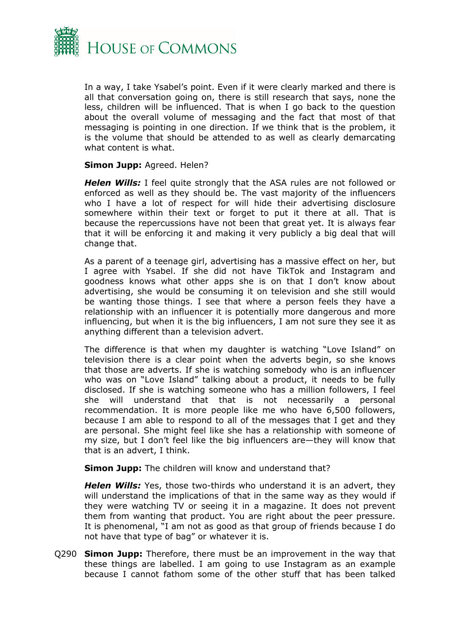

In a way, I take Ysabel's point. Even if it were clearly marked and there is all that conversation going on, there is still research that says, none the less, children will be influenced. That is when I go back to the question about the overall volume of messaging and the fact that most of that messaging is pointing in one direction. If we think that is the problem, it is the volume that should be attended to as well as clearly demarcating what content is what.

#### **Simon Jupp:** Agreed. Helen?

*Helen Wills:* I feel quite strongly that the ASA rules are not followed or enforced as well as they should be. The vast majority of the influencers who I have a lot of respect for will hide their advertising disclosure somewhere within their text or forget to put it there at all. That is because the repercussions have not been that great yet. It is always fear that it will be enforcing it and making it very publicly a big deal that will change that.

As a parent of a teenage girl, advertising has a massive effect on her, but I agree with Ysabel. If she did not have TikTok and Instagram and goodness knows what other apps she is on that I don't know about advertising, she would be consuming it on television and she still would be wanting those things. I see that where a person feels they have a relationship with an influencer it is potentially more dangerous and more influencing, but when it is the big influencers, I am not sure they see it as anything different than a television advert.

The difference is that when my daughter is watching "Love Island" on television there is a clear point when the adverts begin, so she knows that those are adverts. If she is watching somebody who is an influencer who was on "Love Island" talking about a product, it needs to be fully disclosed. If she is watching someone who has a million followers, I feel she will understand that that is not necessarily a personal recommendation. It is more people like me who have 6,500 followers, because I am able to respond to all of the messages that I get and they are personal. She might feel like she has a relationship with someone of my size, but I don't feel like the big influencers are—they will know that that is an advert, I think.

**Simon Jupp:** The children will know and understand that?

*Helen Wills:* Yes, those two-thirds who understand it is an advert, they will understand the implications of that in the same way as they would if they were watching TV or seeing it in a magazine. It does not prevent them from wanting that product. You are right about the peer pressure. It is phenomenal, "I am not as good as that group of friends because I do not have that type of bag" or whatever it is.

Q290 **Simon Jupp:** Therefore, there must be an improvement in the way that these things are labelled. I am going to use Instagram as an example because I cannot fathom some of the other stuff that has been talked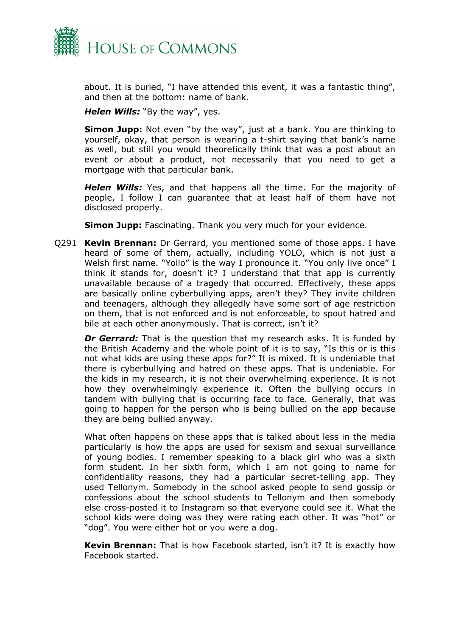

about. It is buried, "I have attended this event, it was a fantastic thing", and then at the bottom: name of bank.

*Helen Wills:* "By the way", yes.

**Simon Jupp:** Not even "by the way", just at a bank. You are thinking to yourself, okay, that person is wearing a t-shirt saying that bank's name as well, but still you would theoretically think that was a post about an event or about a product, not necessarily that you need to get a mortgage with that particular bank.

*Helen Wills:* Yes, and that happens all the time. For the majority of people, I follow I can guarantee that at least half of them have not disclosed properly.

**Simon Jupp:** Fascinating. Thank you very much for your evidence.

Q291 **Kevin Brennan:** Dr Gerrard, you mentioned some of those apps. I have heard of some of them, actually, including YOLO, which is not just a Welsh first name. "Yollo" is the way I pronounce it. "You only live once" I think it stands for, doesn't it? I understand that that app is currently unavailable because of a tragedy that occurred. Effectively, these apps are basically online cyberbullying apps, aren't they? They invite children and teenagers, although they allegedly have some sort of age restriction on them, that is not enforced and is not enforceable, to spout hatred and bile at each other anonymously. That is correct, isn't it?

*Dr Gerrard:* That is the question that my research asks. It is funded by the British Academy and the whole point of it is to say, "Is this or is this not what kids are using these apps for?" It is mixed. It is undeniable that there is cyberbullying and hatred on these apps. That is undeniable. For the kids in my research, it is not their overwhelming experience. It is not how they overwhelmingly experience it. Often the bullying occurs in tandem with bullying that is occurring face to face. Generally, that was going to happen for the person who is being bullied on the app because they are being bullied anyway.

What often happens on these apps that is talked about less in the media particularly is how the apps are used for sexism and sexual surveillance of young bodies. I remember speaking to a black girl who was a sixth form student. In her sixth form, which I am not going to name for confidentiality reasons, they had a particular secret-telling app. They used Tellonym. Somebody in the school asked people to send gossip or confessions about the school students to Tellonym and then somebody else cross-posted it to Instagram so that everyone could see it. What the school kids were doing was they were rating each other. It was "hot" or "dog". You were either hot or you were a dog.

**Kevin Brennan:** That is how Facebook started, isn't it? It is exactly how Facebook started.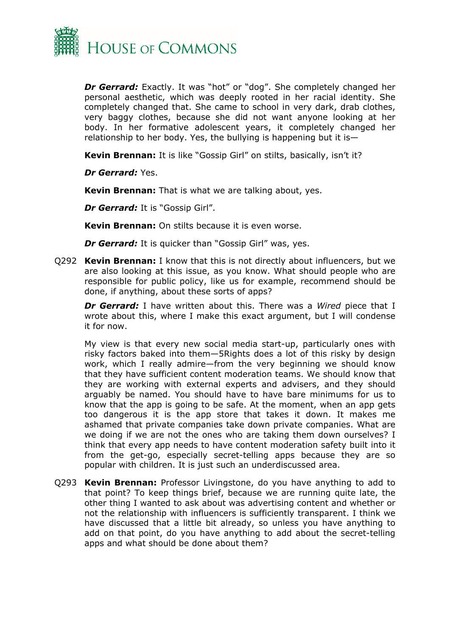

*Dr Gerrard:* Exactly. It was "hot" or "dog". She completely changed her personal aesthetic, which was deeply rooted in her racial identity. She completely changed that. She came to school in very dark, drab clothes, very baggy clothes, because she did not want anyone looking at her body. In her formative adolescent years, it completely changed her relationship to her body. Yes, the bullying is happening but it is—

**Kevin Brennan:** It is like "Gossip Girl" on stilts, basically, isn't it?

*Dr Gerrard:* Yes.

**Kevin Brennan:** That is what we are talking about, yes.

*Dr Gerrard:* It is "Gossip Girl".

**Kevin Brennan:** On stilts because it is even worse.

*Dr Gerrard:* It is quicker than "Gossip Girl" was, yes.

Q292 **Kevin Brennan:** I know that this is not directly about influencers, but we are also looking at this issue, as you know. What should people who are responsible for public policy, like us for example, recommend should be done, if anything, about these sorts of apps?

*Dr Gerrard:* I have written about this. There was a *Wired* piece that I wrote about this, where I make this exact argument, but I will condense it for now.

My view is that every new social media start-up, particularly ones with risky factors baked into them—5Rights does a lot of this risky by design work, which I really admire—from the very beginning we should know that they have sufficient content moderation teams. We should know that they are working with external experts and advisers, and they should arguably be named. You should have to have bare minimums for us to know that the app is going to be safe. At the moment, when an app gets too dangerous it is the app store that takes it down. It makes me ashamed that private companies take down private companies. What are we doing if we are not the ones who are taking them down ourselves? I think that every app needs to have content moderation safety built into it from the get-go, especially secret-telling apps because they are so popular with children. It is just such an underdiscussed area.

Q293 **Kevin Brennan:** Professor Livingstone, do you have anything to add to that point? To keep things brief, because we are running quite late, the other thing I wanted to ask about was advertising content and whether or not the relationship with influencers is sufficiently transparent. I think we have discussed that a little bit already, so unless you have anything to add on that point, do you have anything to add about the secret-telling apps and what should be done about them?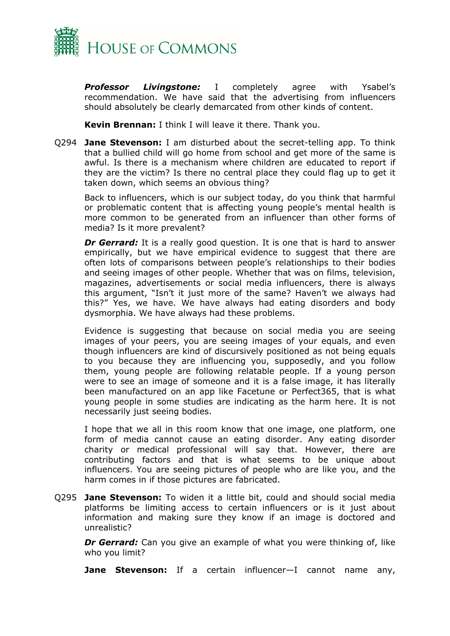

*Professor Livingstone:* I completely agree with Ysabel's recommendation. We have said that the advertising from influencers should absolutely be clearly demarcated from other kinds of content.

**Kevin Brennan:** I think I will leave it there. Thank you.

Q294 **Jane Stevenson:** I am disturbed about the secret-telling app. To think that a bullied child will go home from school and get more of the same is awful. Is there is a mechanism where children are educated to report if they are the victim? Is there no central place they could flag up to get it taken down, which seems an obvious thing?

Back to influencers, which is our subject today, do you think that harmful or problematic content that is affecting young people's mental health is more common to be generated from an influencer than other forms of media? Is it more prevalent?

*Dr Gerrard:* It is a really good question. It is one that is hard to answer empirically, but we have empirical evidence to suggest that there are often lots of comparisons between people's relationships to their bodies and seeing images of other people. Whether that was on films, television, magazines, advertisements or social media influencers, there is always this argument, "Isn't it just more of the same? Haven't we always had this?" Yes, we have. We have always had eating disorders and body dysmorphia. We have always had these problems.

Evidence is suggesting that because on social media you are seeing images of your peers, you are seeing images of your equals, and even though influencers are kind of discursively positioned as not being equals to you because they are influencing you, supposedly, and you follow them, young people are following relatable people. If a young person were to see an image of someone and it is a false image, it has literally been manufactured on an app like Facetune or Perfect365, that is what young people in some studies are indicating as the harm here. It is not necessarily just seeing bodies.

I hope that we all in this room know that one image, one platform, one form of media cannot cause an eating disorder. Any eating disorder charity or medical professional will say that. However, there are contributing factors and that is what seems to be unique about influencers. You are seeing pictures of people who are like you, and the harm comes in if those pictures are fabricated.

Q295 **Jane Stevenson:** To widen it a little bit, could and should social media platforms be limiting access to certain influencers or is it just about information and making sure they know if an image is doctored and unrealistic?

*Dr Gerrard:* Can you give an example of what you were thinking of, like who you limit?

**Jane Stevenson:** If a certain influencer—I cannot name any,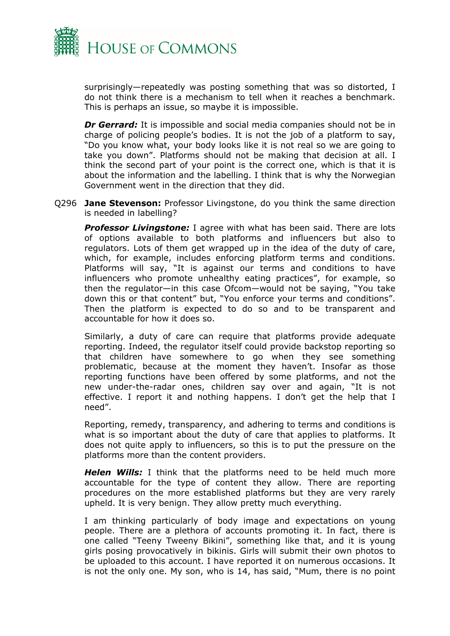

surprisingly—repeatedly was posting something that was so distorted, I do not think there is a mechanism to tell when it reaches a benchmark. This is perhaps an issue, so maybe it is impossible.

*Dr Gerrard:* It is impossible and social media companies should not be in charge of policing people's bodies. It is not the job of a platform to say, "Do you know what, your body looks like it is not real so we are going to take you down". Platforms should not be making that decision at all. I think the second part of your point is the correct one, which is that it is about the information and the labelling. I think that is why the Norwegian Government went in the direction that they did.

Q296 **Jane Stevenson:** Professor Livingstone, do you think the same direction is needed in labelling?

*Professor Livingstone:* I agree with what has been said. There are lots of options available to both platforms and influencers but also to regulators. Lots of them get wrapped up in the idea of the duty of care, which, for example, includes enforcing platform terms and conditions. Platforms will say, "It is against our terms and conditions to have influencers who promote unhealthy eating practices", for example, so then the regulator—in this case Ofcom—would not be saying, "You take down this or that content" but, "You enforce your terms and conditions". Then the platform is expected to do so and to be transparent and accountable for how it does so.

Similarly, a duty of care can require that platforms provide adequate reporting. Indeed, the regulator itself could provide backstop reporting so that children have somewhere to go when they see something problematic, because at the moment they haven't. Insofar as those reporting functions have been offered by some platforms, and not the new under-the-radar ones, children say over and again, "It is not effective. I report it and nothing happens. I don't get the help that I need".

Reporting, remedy, transparency, and adhering to terms and conditions is what is so important about the duty of care that applies to platforms. It does not quite apply to influencers, so this is to put the pressure on the platforms more than the content providers.

*Helen Wills:* I think that the platforms need to be held much more accountable for the type of content they allow. There are reporting procedures on the more established platforms but they are very rarely upheld. It is very benign. They allow pretty much everything.

I am thinking particularly of body image and expectations on young people. There are a plethora of accounts promoting it. In fact, there is one called "Teeny Tweeny Bikini", something like that, and it is young girls posing provocatively in bikinis. Girls will submit their own photos to be uploaded to this account. I have reported it on numerous occasions. It is not the only one. My son, who is 14, has said, "Mum, there is no point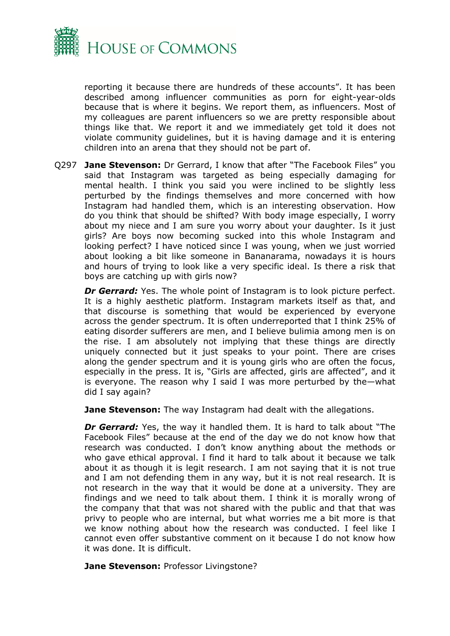

reporting it because there are hundreds of these accounts". It has been described among influencer communities as porn for eight-year-olds because that is where it begins. We report them, as influencers. Most of my colleagues are parent influencers so we are pretty responsible about things like that. We report it and we immediately get told it does not violate community guidelines, but it is having damage and it is entering children into an arena that they should not be part of.

Q297 **Jane Stevenson:** Dr Gerrard, I know that after "The Facebook Files" you said that Instagram was targeted as being especially damaging for mental health. I think you said you were inclined to be slightly less perturbed by the findings themselves and more concerned with how Instagram had handled them, which is an interesting observation. How do you think that should be shifted? With body image especially, I worry about my niece and I am sure you worry about your daughter. Is it just girls? Are boys now becoming sucked into this whole Instagram and looking perfect? I have noticed since I was young, when we just worried about looking a bit like someone in Bananarama, nowadays it is hours and hours of trying to look like a very specific ideal. Is there a risk that boys are catching up with girls now?

*Dr Gerrard:* Yes. The whole point of Instagram is to look picture perfect. It is a highly aesthetic platform. Instagram markets itself as that, and that discourse is something that would be experienced by everyone across the gender spectrum. It is often underreported that I think 25% of eating disorder sufferers are men, and I believe bulimia among men is on the rise. I am absolutely not implying that these things are directly uniquely connected but it just speaks to your point. There are crises along the gender spectrum and it is young girls who are often the focus, especially in the press. It is, "Girls are affected, girls are affected", and it is everyone. The reason why I said I was more perturbed by the—what did I say again?

**Jane Stevenson:** The way Instagram had dealt with the allegations.

*Dr Gerrard:* Yes, the way it handled them. It is hard to talk about "The Facebook Files" because at the end of the day we do not know how that research was conducted. I don't know anything about the methods or who gave ethical approval. I find it hard to talk about it because we talk about it as though it is legit research. I am not saying that it is not true and I am not defending them in any way, but it is not real research. It is not research in the way that it would be done at a university. They are findings and we need to talk about them. I think it is morally wrong of the company that that was not shared with the public and that that was privy to people who are internal, but what worries me a bit more is that we know nothing about how the research was conducted. I feel like I cannot even offer substantive comment on it because I do not know how it was done. It is difficult.

**Jane Stevenson:** Professor Livingstone?